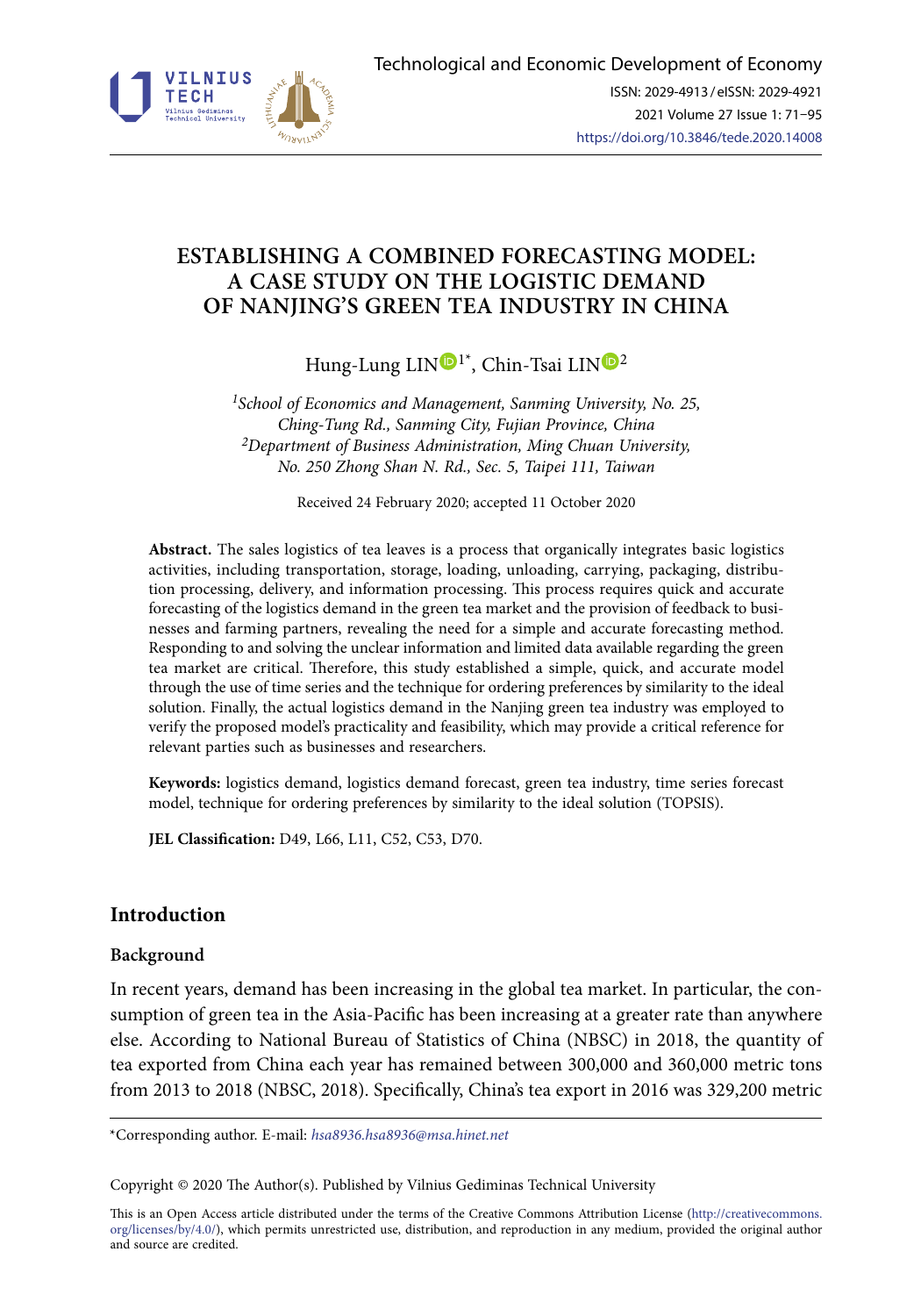

# **ESTABLISHING A COMBINED FORECASTING MODEL: A CASE STUDY ON THE LOGISTIC DEMAND OF NANJING'S GREEN TEA INDUSTRY IN CHINA**

Hung-Lung LIN<sup>O<sup>[1](https://orcid.org/0000-0001-8904-7750)\*</sup>, Chin-Tsai LIN<sup>O[2](https://orcid.org/0000-0003-2994-450X)</sup></sup>

*1School of Economics and Management, Sanming University, No. 25, Ching-Tung Rd., Sanming City, Fujian Province, China 2Department of Business Administration, Ming Chuan University, No. 250 Zhong Shan N. Rd., Sec. 5, Taipei 111, Taiwan*

Received 24 February 2020; accepted 11 October 2020

**Abstract.** The sales logistics of tea leaves is a process that organically integrates basic logistics activities, including transportation, storage, loading, unloading, carrying, packaging, distribution processing, delivery, and information processing. This process requires quick and accurate forecasting of the logistics demand in the green tea market and the provision of feedback to businesses and farming partners, revealing the need for a simple and accurate forecasting method. Responding to and solving the unclear information and limited data available regarding the green tea market are critical. Therefore, this study established a simple, quick, and accurate model through the use of time series and the technique for ordering preferences by similarity to the ideal solution. Finally, the actual logistics demand in the Nanjing green tea industry was employed to verify the proposed model's practicality and feasibility, which may provide a critical reference for relevant parties such as businesses and researchers.

**Keywords:** logistics demand, logistics demand forecast, green tea industry, time series forecast model, technique for ordering preferences by similarity to the ideal solution (TOPSIS).

**JEL Classification:** D49, L66, L11, C52, C53, D70.

# **Introduction**

# **Background**

In recent years, demand has been increasing in the global tea market. In particular, the consumption of green tea in the Asia-Pacific has been increasing at a greater rate than anywhere else. According to National Bureau of Statistics of China (NBSC) in 2018, the quantity of tea exported from China each year has remained between 300,000 and 360,000 metric tons from 2013 to 2018 (NBSC, 2018). Specifically, China's tea export in 2016 was 329,200 metric

\*Corresponding author. E-mail: *hsa8936.hsa8936@msa.hinet.net*

Copyright © 2020 The Author(s). Published by Vilnius Gediminas Technical University

This is an Open Access article distributed under the terms of the Creative Commons Attribution License ([http://creativecommons.](http://dx.doi.org/10.1016/S0377-2217(03)00091-2) [org/licenses/by/4.0/\)](http://dx.doi.org/10.1016/S0377-2217(03)00091-2), which permits unrestricted use, distribution, and reproduction in any medium, provided the original author and source are credited.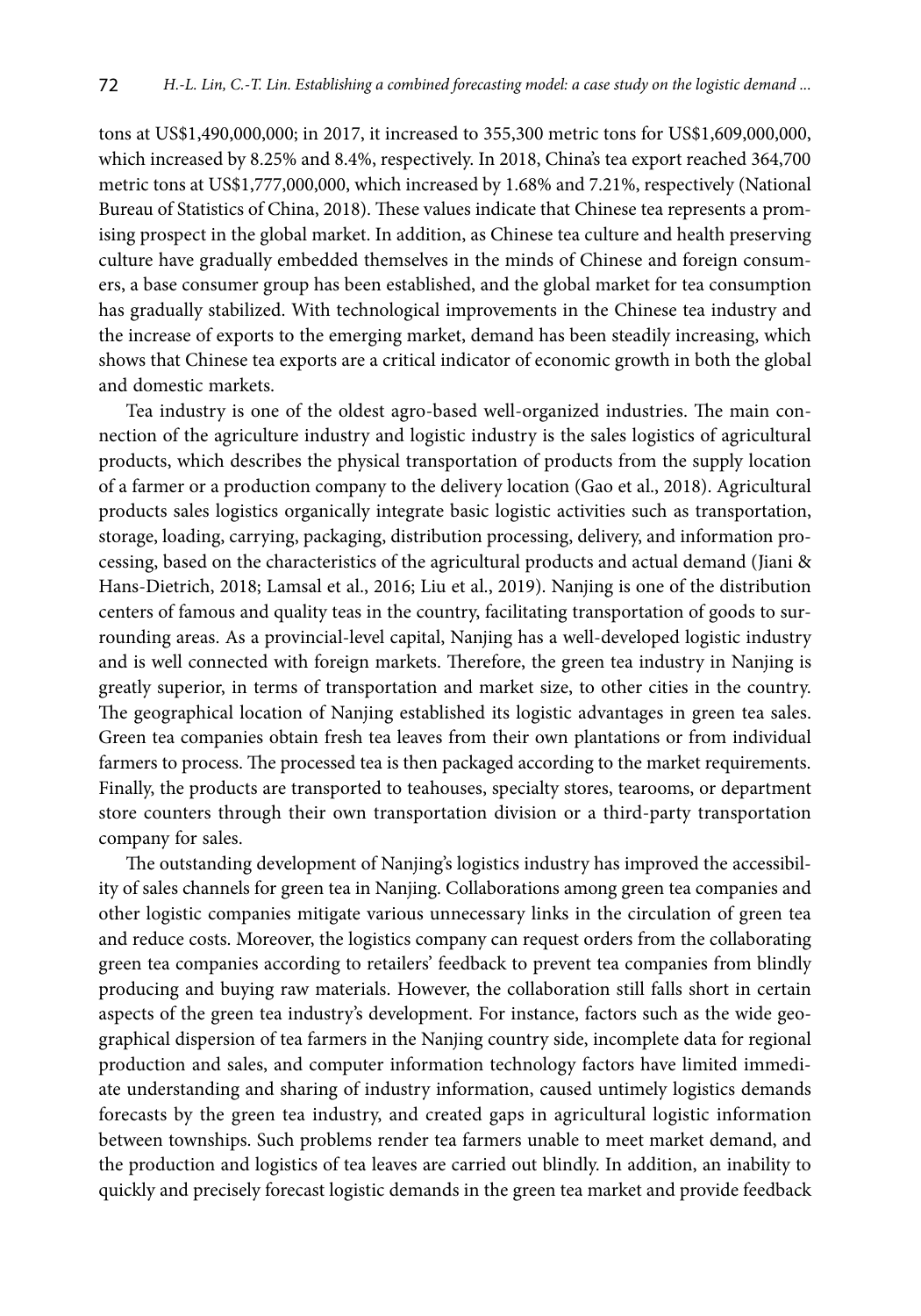tons at US\$1,490,000,000; in 2017, it increased to 355,300 metric tons for US\$1,609,000,000, which increased by 8.25% and 8.4%, respectively. In 2018, China's tea export reached 364,700 metric tons at US\$1,777,000,000, which increased by 1.68% and 7.21%, respectively (National Bureau of Statistics of China, 2018). These values indicate that Chinese tea represents a promising prospect in the global market. In addition, as Chinese tea culture and health preserving culture have gradually embedded themselves in the minds of Chinese and foreign consumers, a base consumer group has been established, and the global market for tea consumption has gradually stabilized. With technological improvements in the Chinese tea industry and the increase of exports to the emerging market, demand has been steadily increasing, which shows that Chinese tea exports are a critical indicator of economic growth in both the global and domestic markets.

Tea industry is one of the oldest agro-based well-organized industries. The main connection of the agriculture industry and logistic industry is the sales logistics of agricultural products, which describes the physical transportation of products from the supply location of a farmer or a production company to the delivery location (Gao et al., 2018). Agricultural products sales logistics organically integrate basic logistic activities such as transportation, storage, loading, carrying, packaging, distribution processing, delivery, and information processing, based on the characteristics of the agricultural products and actual demand (Jiani & Hans-Dietrich, 2018; Lamsal et al., 2016; Liu et al., 2019). Nanjing is one of the distribution centers of famous and quality teas in the country, facilitating transportation of goods to surrounding areas. As a provincial-level capital, Nanjing has a well-developed logistic industry and is well connected with foreign markets. Therefore, the green tea industry in Nanjing is greatly superior, in terms of transportation and market size, to other cities in the country. The geographical location of Nanjing established its logistic advantages in green tea sales. Green tea companies obtain fresh tea leaves from their own plantations or from individual farmers to process. The processed tea is then packaged according to the market requirements. Finally, the products are transported to teahouses, specialty stores, tearooms, or department store counters through their own transportation division or a third-party transportation company for sales.

The outstanding development of Nanjing's logistics industry has improved the accessibility of sales channels for green tea in Nanjing. Collaborations among green tea companies and other logistic companies mitigate various unnecessary links in the circulation of green tea and reduce costs. Moreover, the logistics company can request orders from the collaborating green tea companies according to retailers' feedback to prevent tea companies from blindly producing and buying raw materials. However, the collaboration still falls short in certain aspects of the green tea industry's development. For instance, factors such as the wide geographical dispersion of tea farmers in the Nanjing country side, incomplete data for regional production and sales, and computer information technology factors have limited immediate understanding and sharing of industry information, caused untimely logistics demands forecasts by the green tea industry, and created gaps in agricultural logistic information between townships. Such problems render tea farmers unable to meet market demand, and the production and logistics of tea leaves are carried out blindly. In addition, an inability to quickly and precisely forecast logistic demands in the green tea market and provide feedback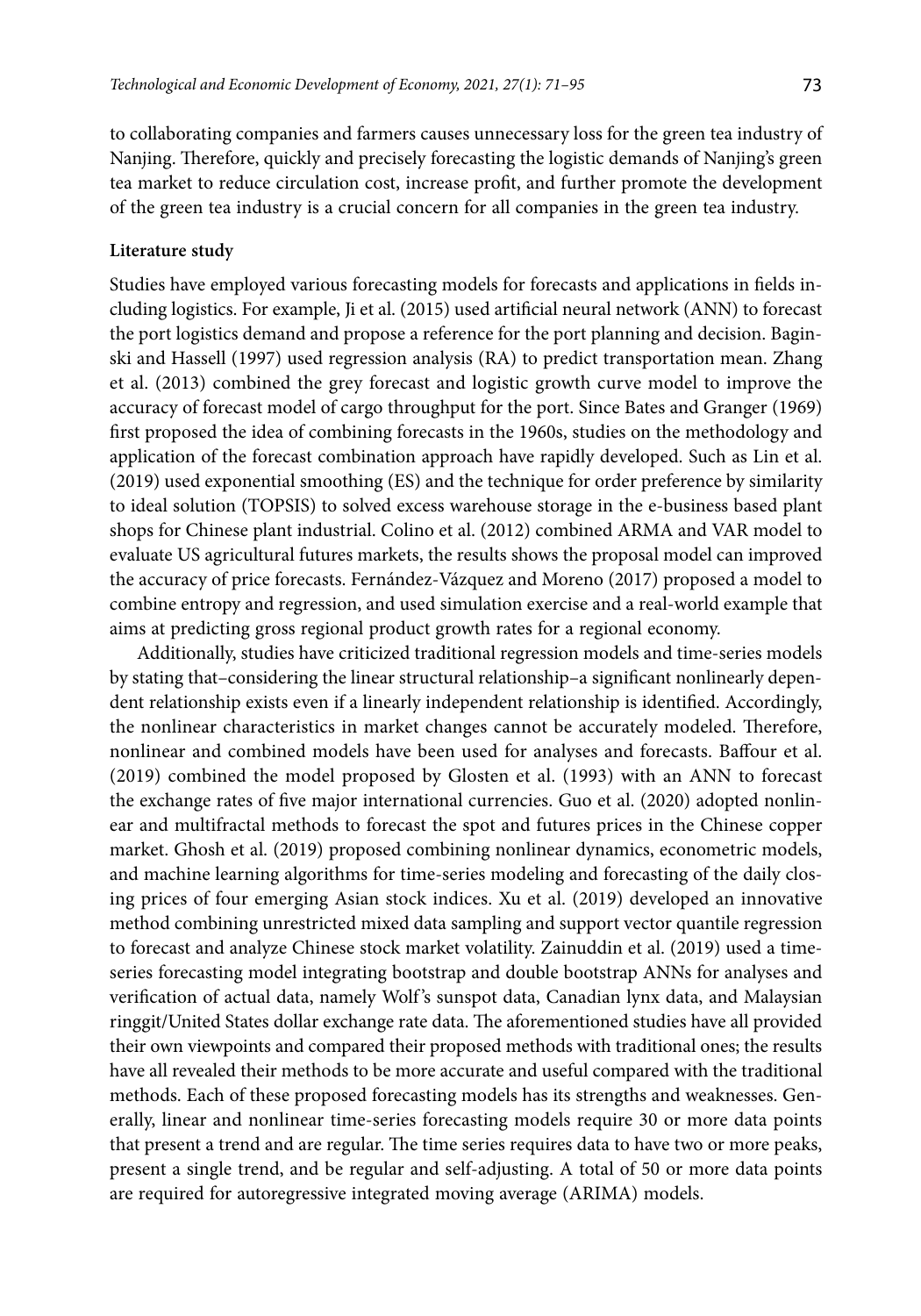to collaborating companies and farmers causes unnecessary loss for the green tea industry of Nanjing. Therefore, quickly and precisely forecasting the logistic demands of Nanjing's green tea market to reduce circulation cost, increase profit, and further promote the development of the green tea industry is a crucial concern for all companies in the green tea industry.

## **Literature study**

Studies have employed various forecasting models for forecasts and applications in fields including logistics. For example, Ji et al. (2015) used artificial neural network (ANN) to forecast the port logistics demand and propose a reference for the port planning and decision. Baginski and Hassell (1997) used regression analysis (RA) to predict transportation mean. Zhang et al. (2013) combined the grey forecast and logistic growth curve model to improve the accuracy of forecast model of cargo throughput for the port. Since Bates and Granger (1969) first proposed the idea of combining forecasts in the 1960s, studies on the methodology and application of the forecast combination approach have rapidly developed. Such as Lin et al. (2019) used exponential smoothing (ES) and the technique for order preference by similarity to ideal solution (TOPSIS) to solved excess warehouse storage in the e-business based plant shops for Chinese plant industrial. Colino et al. (2012) combined ARMA and VAR model to evaluate US agricultural futures markets, the results shows the proposal model can improved the accuracy of price forecasts. Fernández-Vázquez and Moreno (2017) proposed a model to combine entropy and regression, and used simulation exercise and a real-world example that aims at predicting gross regional product growth rates for a regional economy.

Additionally, studies have criticized traditional regression models and time-series models by stating that–considering the linear structural relationship–a significant nonlinearly dependent relationship exists even if a linearly independent relationship is identified. Accordingly, the nonlinear characteristics in market changes cannot be accurately modeled. Therefore, nonlinear and combined models have been used for analyses and forecasts. Baffour et al. (2019) combined the model proposed by Glosten et al. (1993) with an ANN to forecast the exchange rates of five major international currencies. Guo et al. (2020) adopted nonlinear and multifractal methods to forecast the spot and futures prices in the Chinese copper market. Ghosh et al. (2019) proposed combining nonlinear dynamics, econometric models, and machine learning algorithms for time-series modeling and forecasting of the daily closing prices of four emerging Asian stock indices. Xu et al. (2019) developed an innovative method combining unrestricted mixed data sampling and support vector quantile regression to forecast and analyze Chinese stock market volatility. Zainuddin et al. (2019) used a timeseries forecasting model integrating bootstrap and double bootstrap ANNs for analyses and verification of actual data, namely Wolf 's sunspot data, Canadian lynx data, and Malaysian ringgit/United States dollar exchange rate data. The aforementioned studies have all provided their own viewpoints and compared their proposed methods with traditional ones; the results have all revealed their methods to be more accurate and useful compared with the traditional methods. Each of these proposed forecasting models has its strengths and weaknesses. Generally, linear and nonlinear time-series forecasting models require 30 or more data points that present a trend and are regular. The time series requires data to have two or more peaks, present a single trend, and be regular and self-adjusting. A total of 50 or more data points are required for autoregressive integrated moving average (ARIMA) models.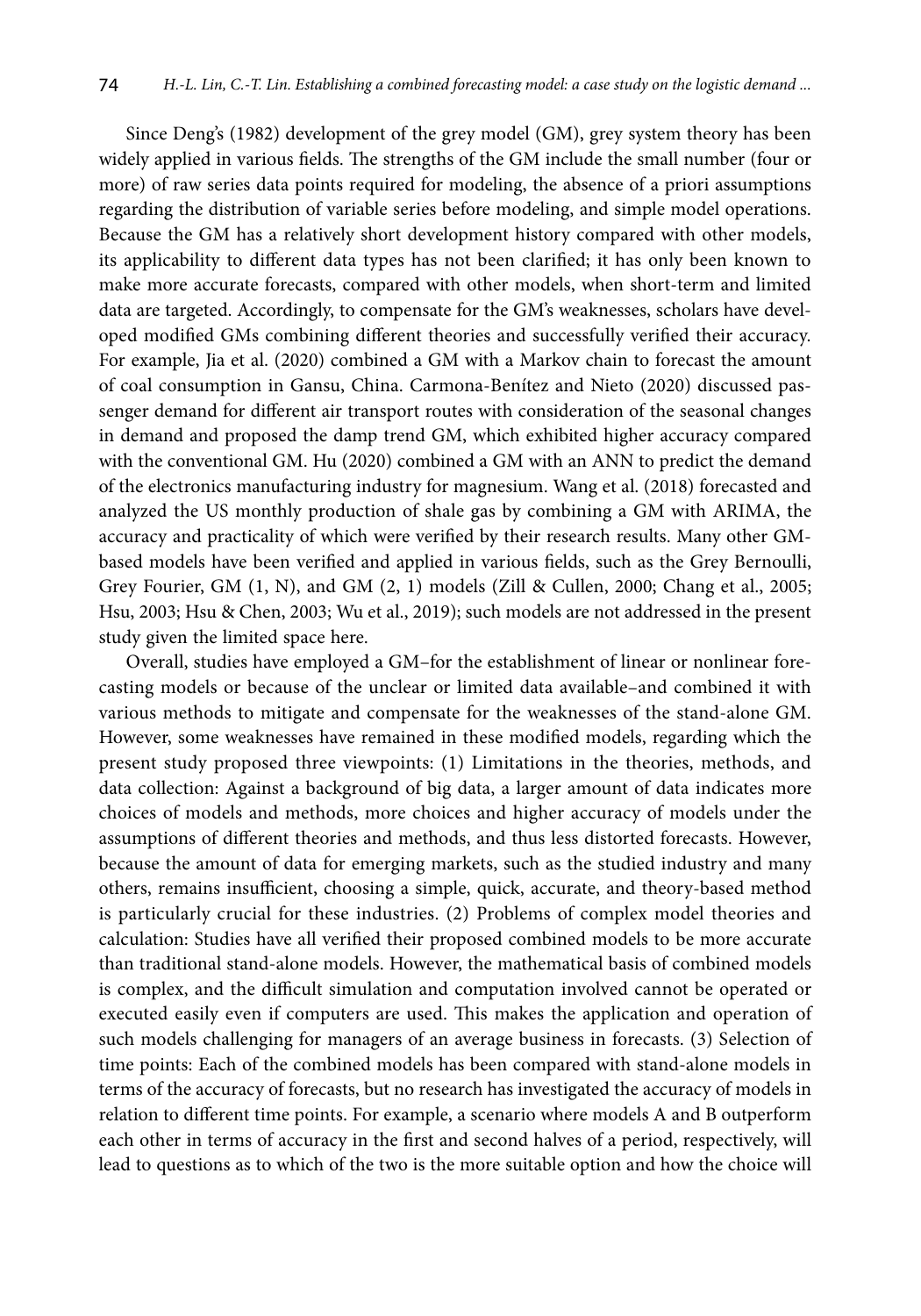Since Deng's (1982) development of the grey model (GM), grey system theory has been widely applied in various fields. The strengths of the GM include the small number (four or more) of raw series data points required for modeling, the absence of a priori assumptions regarding the distribution of variable series before modeling, and simple model operations. Because the GM has a relatively short development history compared with other models, its applicability to different data types has not been clarified; it has only been known to make more accurate forecasts, compared with other models, when short-term and limited data are targeted. Accordingly, to compensate for the GM's weaknesses, scholars have developed modified GMs combining different theories and successfully verified their accuracy. For example, Jia et al. (2020) combined a GM with a Markov chain to forecast the amount of coal consumption in Gansu, China. Carmona-Benítez and Nieto (2020) discussed passenger demand for different air transport routes with consideration of the seasonal changes in demand and proposed the damp trend GM, which exhibited higher accuracy compared with the conventional GM. Hu (2020) combined a GM with an ANN to predict the demand of the electronics manufacturing industry for magnesium. Wang et al. (2018) forecasted and analyzed the US monthly production of shale gas by combining a GM with ARIMA, the accuracy and practicality of which were verified by their research results. Many other GMbased models have been verified and applied in various fields, such as the Grey Bernoulli, Grey Fourier, GM  $(1, N)$ , and GM  $(2, 1)$  models  $(Zill \& Cullen$ , 2000; Chang et al., 2005; Hsu, 2003; Hsu & Chen, 2003; Wu et al., 2019); such models are not addressed in the present study given the limited space here.

Overall, studies have employed a GM–for the establishment of linear or nonlinear forecasting models or because of the unclear or limited data available–and combined it with various methods to mitigate and compensate for the weaknesses of the stand-alone GM. However, some weaknesses have remained in these modified models, regarding which the present study proposed three viewpoints: (1) Limitations in the theories, methods, and data collection: Against a background of big data, a larger amount of data indicates more choices of models and methods, more choices and higher accuracy of models under the assumptions of different theories and methods, and thus less distorted forecasts. However, because the amount of data for emerging markets, such as the studied industry and many others, remains insufficient, choosing a simple, quick, accurate, and theory-based method is particularly crucial for these industries. (2) Problems of complex model theories and calculation: Studies have all verified their proposed combined models to be more accurate than traditional stand-alone models. However, the mathematical basis of combined models is complex, and the difficult simulation and computation involved cannot be operated or executed easily even if computers are used. This makes the application and operation of such models challenging for managers of an average business in forecasts. (3) Selection of time points: Each of the combined models has been compared with stand-alone models in terms of the accuracy of forecasts, but no research has investigated the accuracy of models in relation to different time points. For example, a scenario where models A and B outperform each other in terms of accuracy in the first and second halves of a period, respectively, will lead to questions as to which of the two is the more suitable option and how the choice will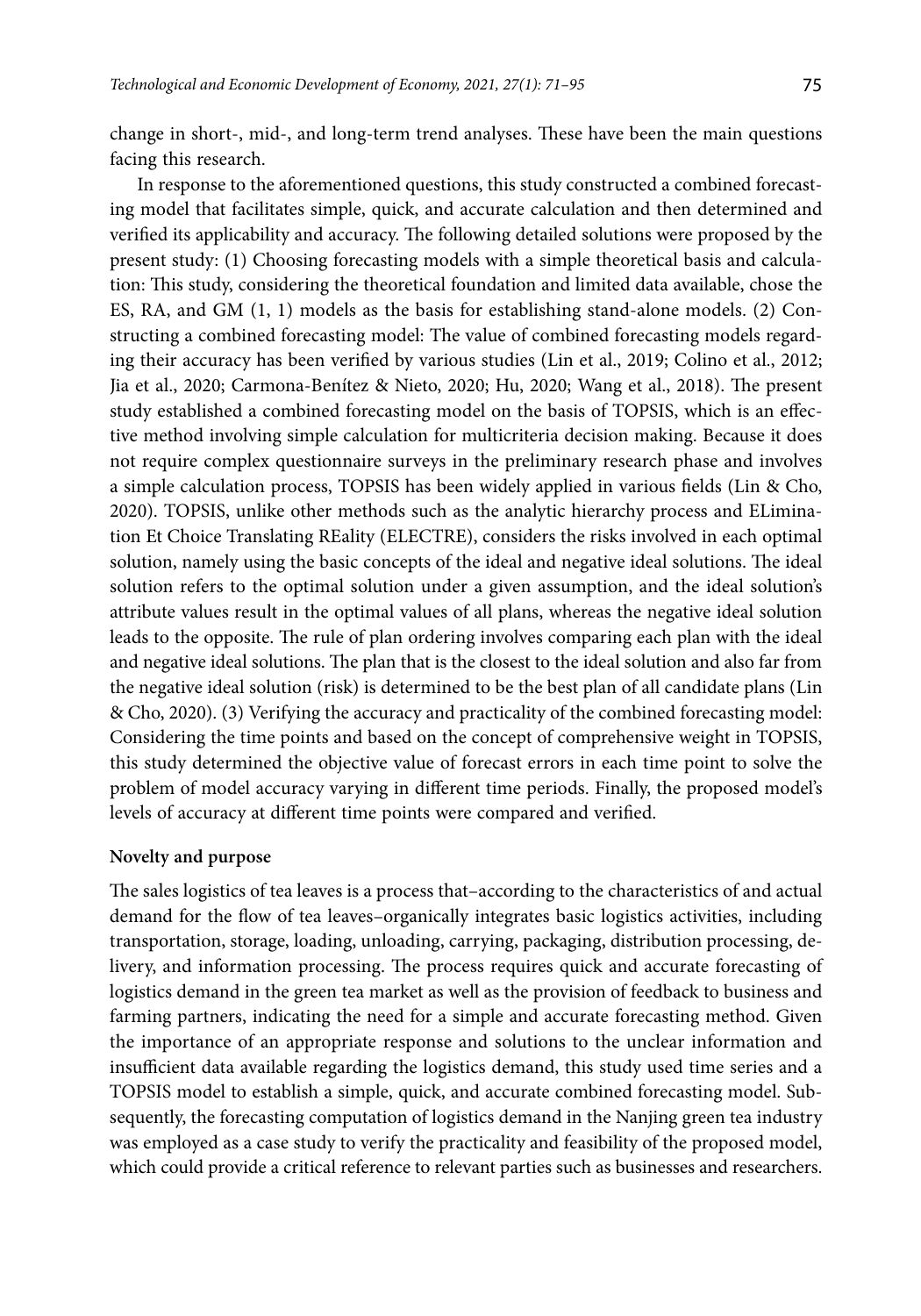change in short-, mid-, and long-term trend analyses. These have been the main questions facing this research.

In response to the aforementioned questions, this study constructed a combined forecasting model that facilitates simple, quick, and accurate calculation and then determined and verified its applicability and accuracy. The following detailed solutions were proposed by the present study: (1) Choosing forecasting models with a simple theoretical basis and calculation: This study, considering the theoretical foundation and limited data available, chose the ES, RA, and GM (1, 1) models as the basis for establishing stand-alone models. (2) Constructing a combined forecasting model: The value of combined forecasting models regarding their accuracy has been verified by various studies (Lin et al., 2019; Colino et al., 2012; Jia et al., 2020; Carmona-Benítez & Nieto, 2020; Hu, 2020; Wang et al., 2018). The present study established a combined forecasting model on the basis of TOPSIS, which is an effective method involving simple calculation for multicriteria decision making. Because it does not require complex questionnaire surveys in the preliminary research phase and involves a simple calculation process, TOPSIS has been widely applied in various fields (Lin & Cho, 2020). TOPSIS, unlike other methods such as the analytic hierarchy process and ELimination Et Choice Translating REality (ELECTRE), considers the risks involved in each optimal solution, namely using the basic concepts of the ideal and negative ideal solutions. The ideal solution refers to the optimal solution under a given assumption, and the ideal solution's attribute values result in the optimal values of all plans, whereas the negative ideal solution leads to the opposite. The rule of plan ordering involves comparing each plan with the ideal and negative ideal solutions. The plan that is the closest to the ideal solution and also far from the negative ideal solution (risk) is determined to be the best plan of all candidate plans (Lin & Cho, 2020). (3) Verifying the accuracy and practicality of the combined forecasting model: Considering the time points and based on the concept of comprehensive weight in TOPSIS, this study determined the objective value of forecast errors in each time point to solve the problem of model accuracy varying in different time periods. Finally, the proposed model's levels of accuracy at different time points were compared and verified.

### **Novelty and purpose**

The sales logistics of tea leaves is a process that–according to the characteristics of and actual demand for the flow of tea leaves–organically integrates basic logistics activities, including transportation, storage, loading, unloading, carrying, packaging, distribution processing, delivery, and information processing. The process requires quick and accurate forecasting of logistics demand in the green tea market as well as the provision of feedback to business and farming partners, indicating the need for a simple and accurate forecasting method. Given the importance of an appropriate response and solutions to the unclear information and insufficient data available regarding the logistics demand, this study used time series and a TOPSIS model to establish a simple, quick, and accurate combined forecasting model. Subsequently, the forecasting computation of logistics demand in the Nanjing green tea industry was employed as a case study to verify the practicality and feasibility of the proposed model, which could provide a critical reference to relevant parties such as businesses and researchers.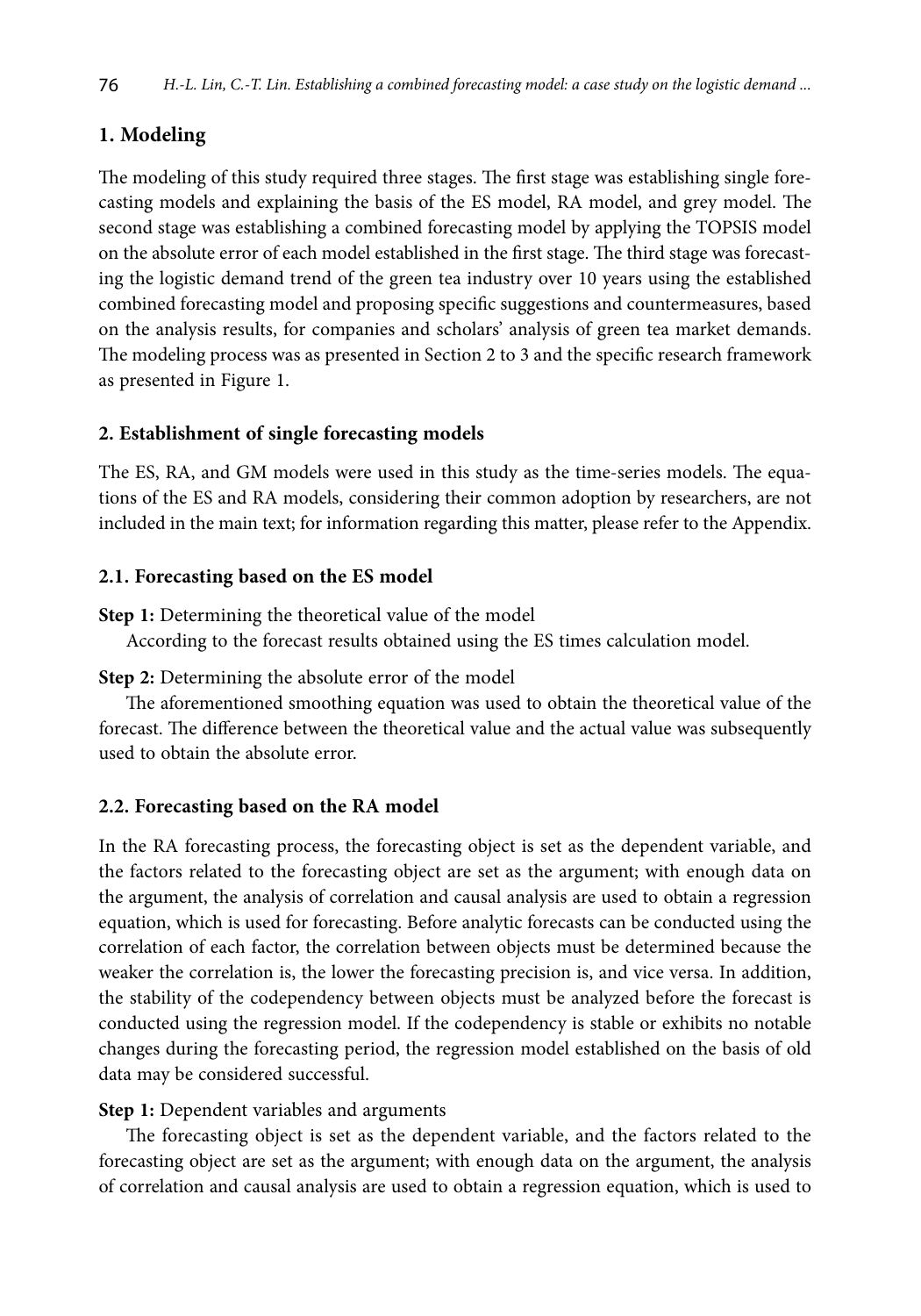# **1. Modeling**

The modeling of this study required three stages. The first stage was establishing single forecasting models and explaining the basis of the ES model, RA model, and grey model. The second stage was establishing a combined forecasting model by applying the TOPSIS model on the absolute error of each model established in the first stage. The third stage was forecasting the logistic demand trend of the green tea industry over 10 years using the established combined forecasting model and proposing specific suggestions and countermeasures, based on the analysis results, for companies and scholars' analysis of green tea market demands. The modeling process was as presented in Section 2 to 3 and the specific research framework as presented in Figure 1.

## **2. Establishment of single forecasting models**

The ES, RA, and GM models were used in this study as the time-series models. The equations of the ES and RA models, considering their common adoption by researchers, are not included in the main text; for information regarding this matter, please refer to the Appendix.

## **2.1. Forecasting based on the ES model**

**Step 1:** Determining the theoretical value of the model

According to the forecast results obtained using the ES times calculation model.

## **Step 2:** Determining the absolute error of the model

The aforementioned smoothing equation was used to obtain the theoretical value of the forecast. The difference between the theoretical value and the actual value was subsequently used to obtain the absolute error.

## **2.2. Forecasting based on the RA model**

In the RA forecasting process, the forecasting object is set as the dependent variable, and the factors related to the forecasting object are set as the argument; with enough data on the argument, the analysis of correlation and causal analysis are used to obtain a regression equation, which is used for forecasting. Before analytic forecasts can be conducted using the correlation of each factor, the correlation between objects must be determined because the weaker the correlation is, the lower the forecasting precision is, and vice versa. In addition, the stability of the codependency between objects must be analyzed before the forecast is conducted using the regression model. If the codependency is stable or exhibits no notable changes during the forecasting period, the regression model established on the basis of old data may be considered successful.

#### **Step 1:** Dependent variables and arguments

The forecasting object is set as the dependent variable, and the factors related to the forecasting object are set as the argument; with enough data on the argument, the analysis of correlation and causal analysis are used to obtain a regression equation, which is used to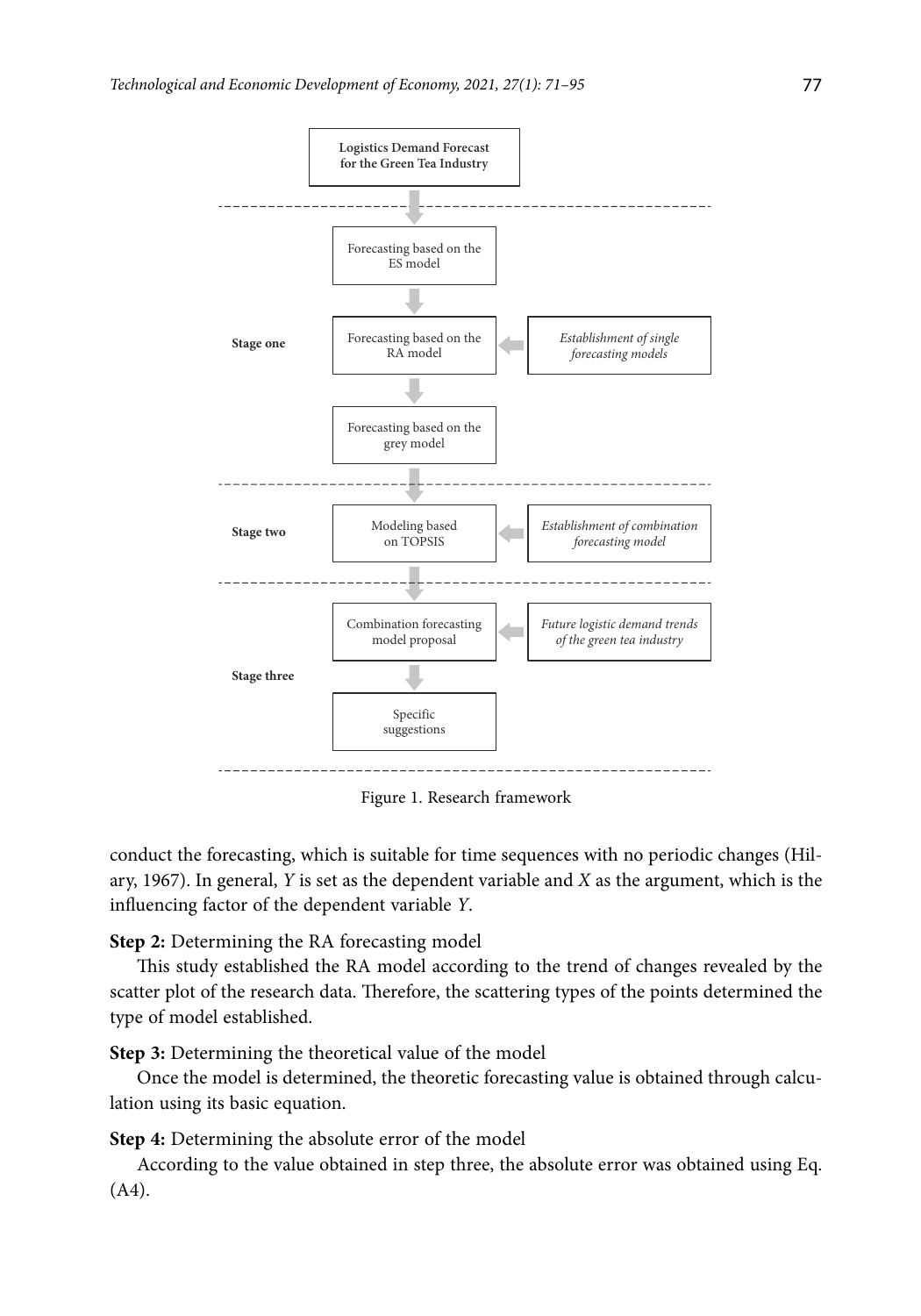

Figure 1. Research framework

conduct the forecasting, which is suitable for time sequences with no periodic changes (Hilary, 1967). In general, *Y* is set as the dependent variable and *X* as the argument, which is the influencing factor of the dependent variable *Y*.

# **Step 2:** Determining the RA forecasting model

This study established the RA model according to the trend of changes revealed by the scatter plot of the research data. Therefore, the scattering types of the points determined the type of model established.

**Step 3:** Determining the theoretical value of the model

Once the model is determined, the theoretic forecasting value is obtained through calculation using its basic equation.

**Step 4:** Determining the absolute error of the model

According to the value obtained in step three, the absolute error was obtained using Eq. (A4).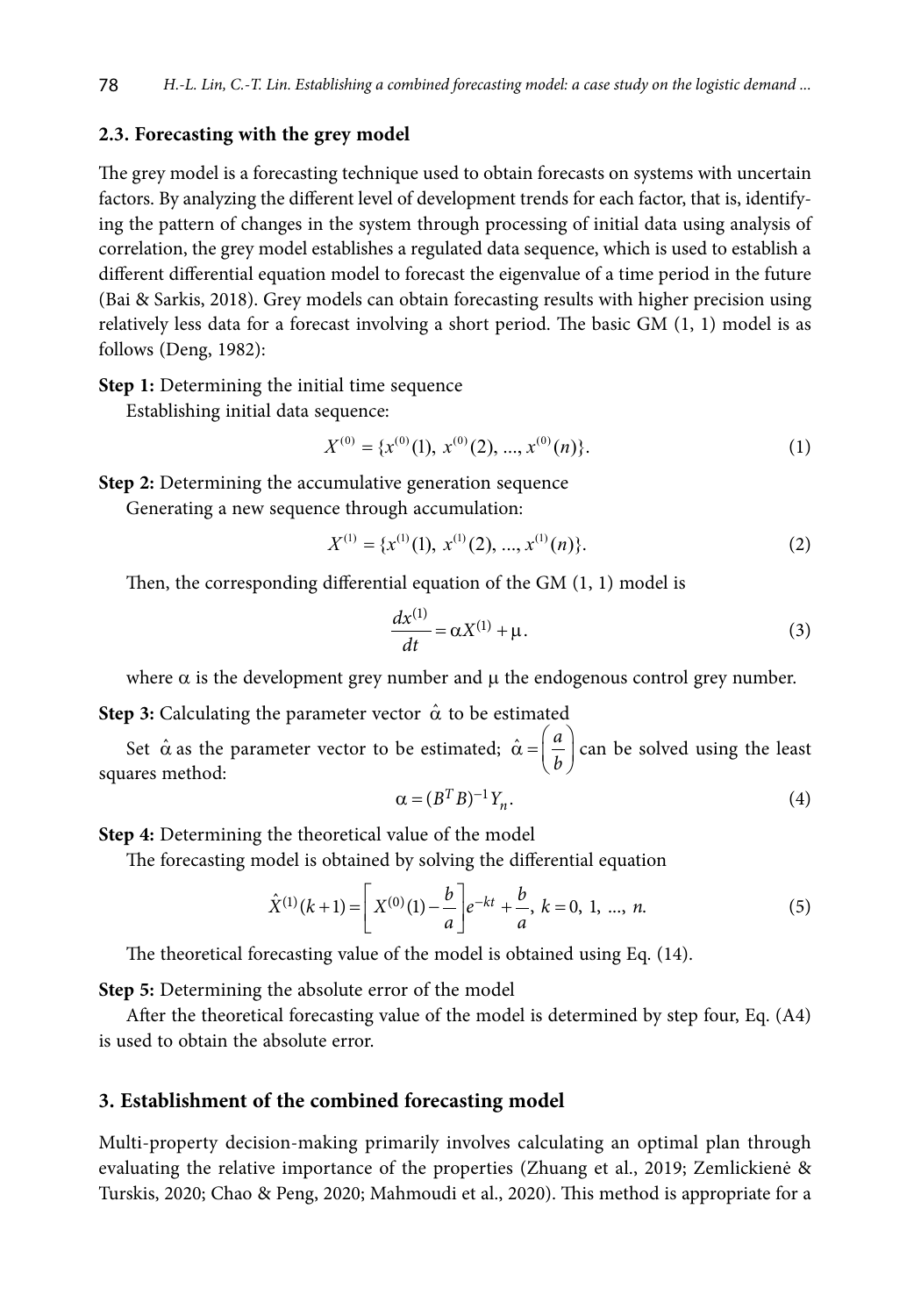## **2.3. Forecasting with the grey model**

The grey model is a forecasting technique used to obtain forecasts on systems with uncertain factors. By analyzing the different level of development trends for each factor, that is, identifying the pattern of changes in the system through processing of initial data using analysis of correlation, the grey model establishes a regulated data sequence, which is used to establish a different differential equation model to forecast the eigenvalue of a time period in the future (Bai & Sarkis, 2018). Grey models can obtain forecasting results with higher precision using relatively less data for a forecast involving a short period. The basic GM (1, 1) model is as follows (Deng, 1982):

**Step 1:** Determining the initial time sequence

Establishing initial data sequence:

$$
X^{(0)} = \{x^{(0)}(1), x^{(0)}(2), ..., x^{(0)}(n)\}.
$$
 (1)

**Step 2:** Determining the accumulative generation sequence

Generating a new sequence through accumulation:

$$
X^{(1)} = \{x^{(1)}(1), x^{(1)}(2), ..., x^{(1)}(n)\}.
$$
 (2)

Then, the corresponding differential equation of the GM (1, 1) model is

$$
\frac{dx^{(1)}}{dt} = \alpha X^{(1)} + \mu.
$$
 (3)

where  $\alpha$  is the development grey number and  $\mu$  the endogenous control grey number.

**Step 3:** Calculating the parameter vector  $\hat{\alpha}$  to be estimated

Set  $\hat{\alpha}$  as the parameter vector to be estimated;  $\hat{\alpha} = \left(\frac{a}{b}\right)$  can be solved using the least squares method:

$$
\alpha = (B^T B)^{-1} Y_n. \tag{4}
$$

**Step 4:** Determining the theoretical value of the model

The forecasting model is obtained by solving the differential equation

$$
\hat{X}^{(1)}(k+1) = \left[ X^{(0)}(1) - \frac{b}{a} \right] e^{-kt} + \frac{b}{a}, \ k = 0, 1, ..., n.
$$
 (5)

The theoretical forecasting value of the model is obtained using Eq. (14).

**Step 5:** Determining the absolute error of the model

After the theoretical forecasting value of the model is determined by step four, Eq. (A4) is used to obtain the absolute error.

## **3. Establishment of the combined forecasting model**

Multi-property decision-making primarily involves calculating an optimal plan through evaluating the relative importance of the properties (Zhuang et al., 2019; Zemlickienė & Turskis, 2020; Chao & Peng, 2020; Mahmoudi et al., 2020). This method is appropriate for a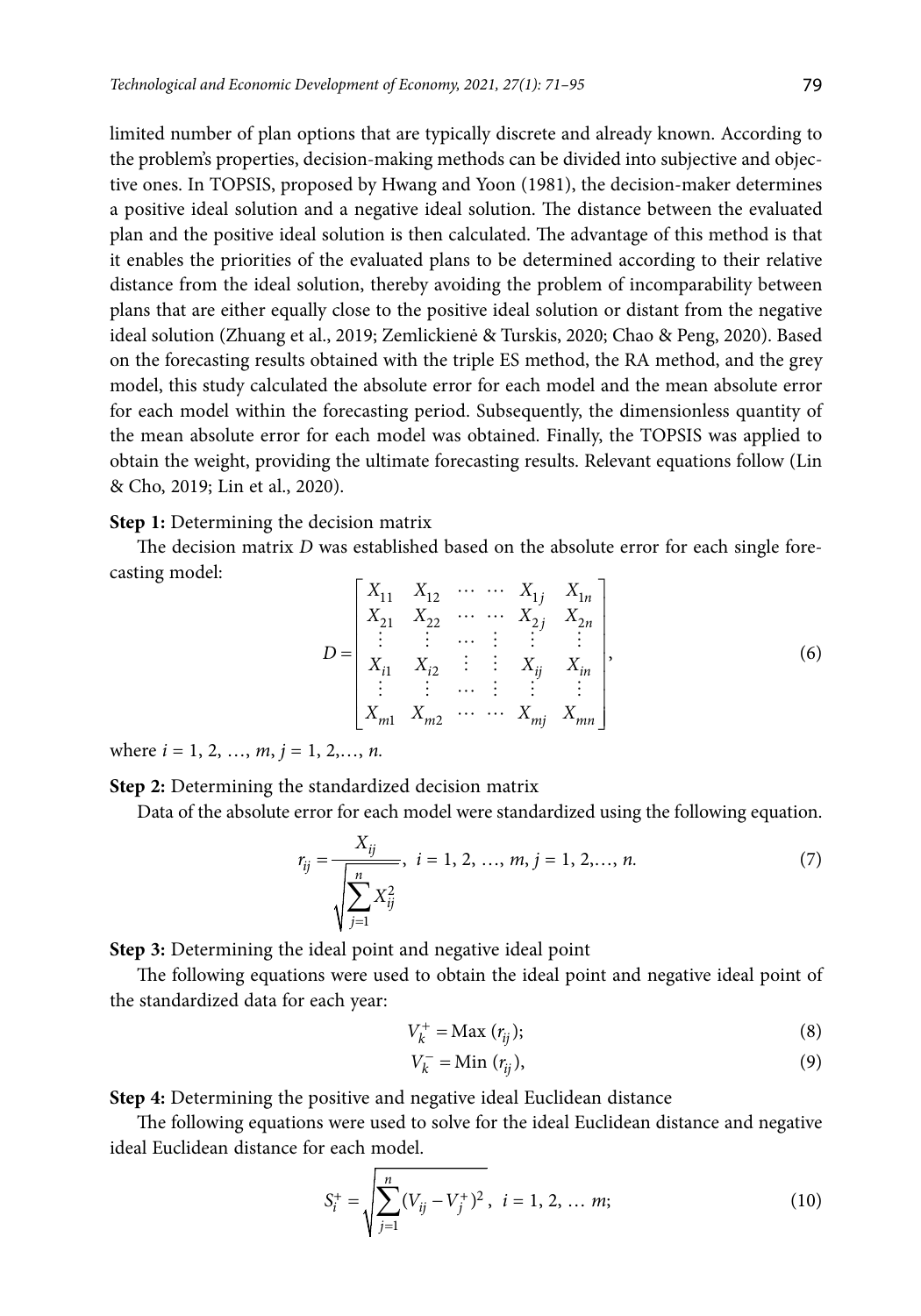limited number of plan options that are typically discrete and already known. According to the problem's properties, decision-making methods can be divided into subjective and objective ones. In TOPSIS, proposed by Hwang and Yoon (1981), the decision-maker determines a positive ideal solution and a negative ideal solution. The distance between the evaluated plan and the positive ideal solution is then calculated. The advantage of this method is that it enables the priorities of the evaluated plans to be determined according to their relative distance from the ideal solution, thereby avoiding the problem of incomparability between plans that are either equally close to the positive ideal solution or distant from the negative ideal solution (Zhuang et al., 2019; Zemlickienė & Turskis, 2020; Chao & Peng, 2020). Based on the forecasting results obtained with the triple ES method, the RA method, and the grey model, this study calculated the absolute error for each model and the mean absolute error for each model within the forecasting period. Subsequently, the dimensionless quantity of the mean absolute error for each model was obtained. Finally, the TOPSIS was applied to obtain the weight, providing the ultimate forecasting results. Relevant equations follow (Lin & Cho, 2019; Lin et al., 2020).

**Step 1:** Determining the decision matrix

The decision matrix *D* was established based on the absolute error for each single forecasting model:

$$
D = \begin{bmatrix} X_{11} & X_{12} & \cdots & \cdots & X_{1j} & X_{1n} \\ X_{21} & X_{22} & \cdots & \cdots & X_{2j} & X_{2n} \\ \vdots & \vdots & \cdots & \vdots & \vdots & \vdots \\ X_{i1} & X_{i2} & \cdots & \vdots & X_{ij} & X_{in} \\ \vdots & \vdots & \cdots & \vdots & \vdots & \vdots \\ X_{m1} & X_{m2} & \cdots & \cdots & X_{mj} & X_{mn} \end{bmatrix},
$$
 (6)

where  $i = 1, 2, ..., m, j = 1, 2, ..., n$ .

**Step 2:** Determining the standardized decision matrix

Data of the absolute error for each model were standardized using the following equation.

$$
r_{ij} = \frac{X_{ij}}{\sqrt{\sum_{j=1}^{n} X_{ij}^2}}, \quad i = 1, 2, ..., m, j = 1, 2, ..., n. \tag{7}
$$

**Step 3:** Determining the ideal point and negative ideal point

The following equations were used to obtain the ideal point and negative ideal point of the standardized data for each year:

$$
V_k^+ = \text{Max}(r_{ij});\tag{8}
$$

$$
V_k^- = \text{Min}(r_{ij}),\tag{9}
$$

**Step 4:** Determining the positive and negative ideal Euclidean distance

The following equations were used to solve for the ideal Euclidean distance and negative ideal Euclidean distance for each model.

$$
S_i^+ = \sqrt{\sum_{j=1}^n (V_{ij} - V_j^+)^2}, \ \ i = 1, 2, \dots m; \tag{10}
$$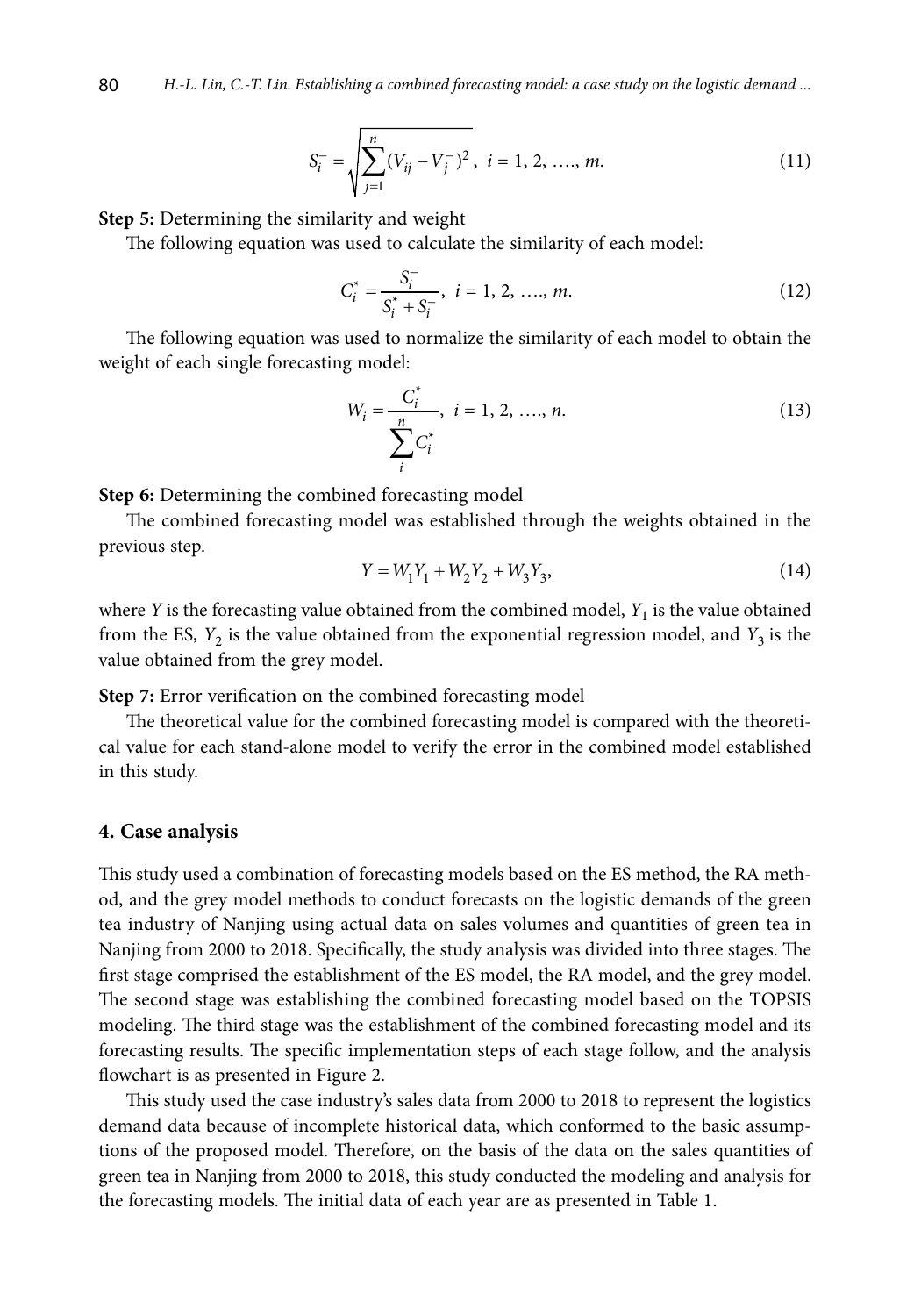$$
S_i^- = \sqrt{\sum_{j=1}^n (V_{ij} - V_j^-)^2}, \ i = 1, 2, \dots, m.
$$
 (11)

**Step 5:** Determining the similarity and weight

The following equation was used to calculate the similarity of each model:

$$
C_i^* = \frac{S_i^-}{S_i^* + S_i^-}, \ i = 1, 2, \dots, m. \tag{12}
$$

The following equation was used to normalize the similarity of each model to obtain the weight of each single forecasting model:

$$
W_i = \frac{C_i^*}{\sum_{i}^{n} C_i^*}, \quad i = 1, 2, \dots, n. \tag{13}
$$

**Step 6:** Determining the combined forecasting model

The combined forecasting model was established through the weights obtained in the previous step.

$$
Y = W_1 Y_1 + W_2 Y_2 + W_3 Y_3, \tag{14}
$$

where *Y* is the forecasting value obtained from the combined model,  $Y_1$  is the value obtained from the ES,  $Y_2$  is the value obtained from the exponential regression model, and  $Y_3$  is the value obtained from the grey model.

**Step 7:** Error verification on the combined forecasting model

The theoretical value for the combined forecasting model is compared with the theoretical value for each stand-alone model to verify the error in the combined model established in this study.

#### **4. Case analysis**

This study used a combination of forecasting models based on the ES method, the RA method, and the grey model methods to conduct forecasts on the logistic demands of the green tea industry of Nanjing using actual data on sales volumes and quantities of green tea in Nanjing from 2000 to 2018. Specifically, the study analysis was divided into three stages. The first stage comprised the establishment of the ES model, the RA model, and the grey model. The second stage was establishing the combined forecasting model based on the TOPSIS modeling. The third stage was the establishment of the combined forecasting model and its forecasting results. The specific implementation steps of each stage follow, and the analysis flowchart is as presented in Figure 2.

This study used the case industry's sales data from 2000 to 2018 to represent the logistics demand data because of incomplete historical data, which conformed to the basic assumptions of the proposed model. Therefore, on the basis of the data on the sales quantities of green tea in Nanjing from 2000 to 2018, this study conducted the modeling and analysis for the forecasting models. The initial data of each year are as presented in Table 1.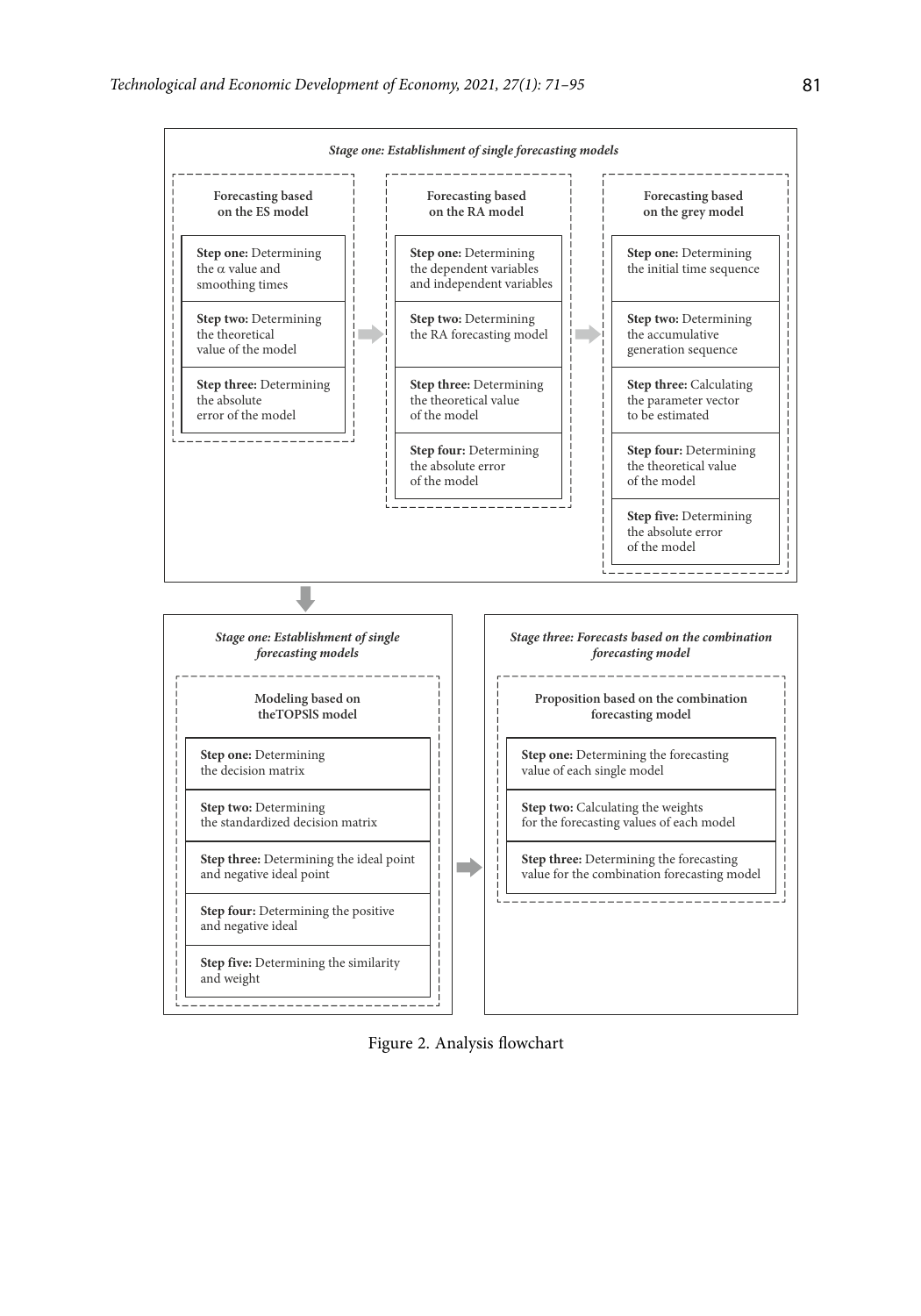

Figure 2. Analysis flowchart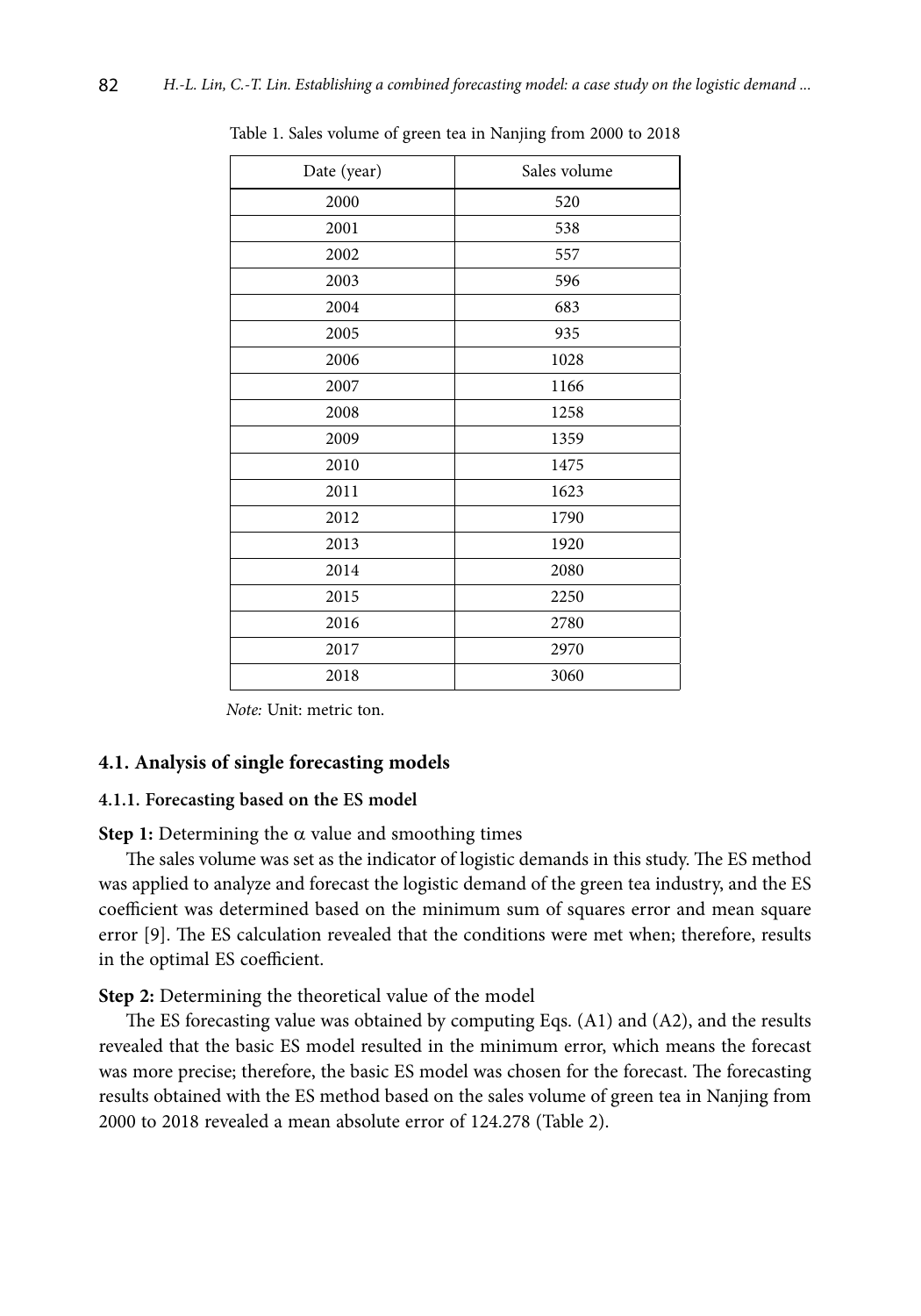| Date (year) | Sales volume |
|-------------|--------------|
| 2000        | 520          |
| 2001        | 538          |
| 2002        | 557          |
| 2003        | 596          |
| 2004        | 683          |
| 2005        | 935          |
| 2006        | 1028         |
| 2007        | 1166         |
| 2008        | 1258         |
| 2009        | 1359         |
| 2010        | 1475         |
| 2011        | 1623         |
| 2012        | 1790         |
| 2013        | 1920         |
| 2014        | 2080         |
| 2015        | 2250         |
| 2016        | 2780         |
| 2017        | 2970         |
| 2018        | 3060         |

Table 1. Sales volume of green tea in Nanjing from 2000 to 2018

 *Note:* Unit: metric ton.

#### **4.1. Analysis of single forecasting models**

#### **4.1.1. Forecasting based on the ES model**

**Step 1:** Determining the  $\alpha$  value and smoothing times

The sales volume was set as the indicator of logistic demands in this study. The ES method was applied to analyze and forecast the logistic demand of the green tea industry, and the ES coefficient was determined based on the minimum sum of squares error and mean square error [9]. The ES calculation revealed that the conditions were met when; therefore, results in the optimal ES coefficient.

**Step 2:** Determining the theoretical value of the model

The ES forecasting value was obtained by computing Eqs. (A1) and (A2), and the results revealed that the basic ES model resulted in the minimum error, which means the forecast was more precise; therefore, the basic ES model was chosen for the forecast. The forecasting results obtained with the ES method based on the sales volume of green tea in Nanjing from 2000 to 2018 revealed a mean absolute error of 124.278 (Table 2).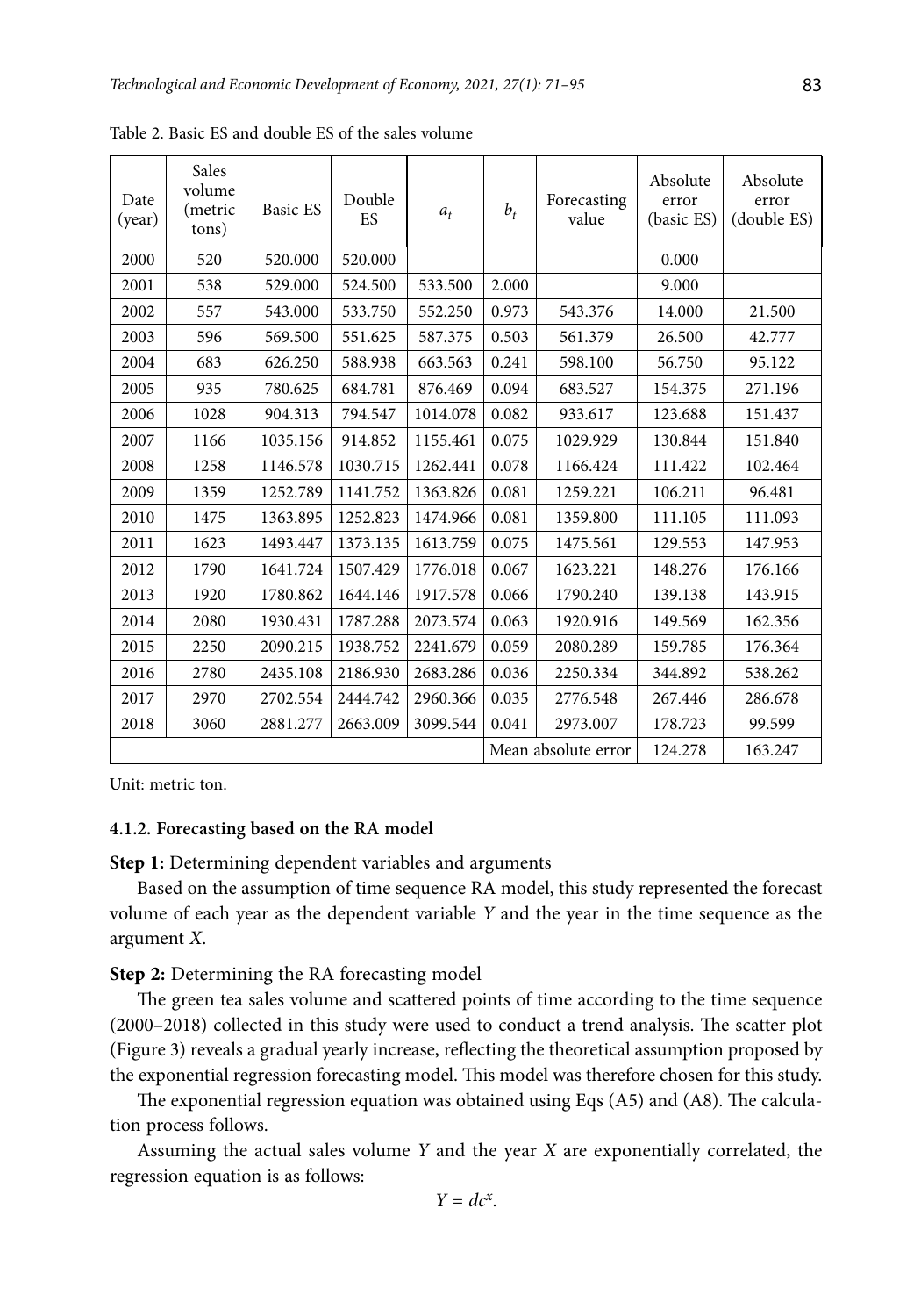| Date<br>(year) | Sales<br>volume<br>(metric<br>tons) | Basic ES | Double<br>ES | $a_t$    | $b_t$ | Forecasting<br>value | Absolute<br>error<br>(basic ES) | Absolute<br>error<br>(double ES) |
|----------------|-------------------------------------|----------|--------------|----------|-------|----------------------|---------------------------------|----------------------------------|
| 2000           | 520                                 | 520.000  | 520.000      |          |       |                      | 0.000                           |                                  |
| 2001           | 538                                 | 529.000  | 524.500      | 533.500  | 2.000 |                      | 9.000                           |                                  |
| 2002           | 557                                 | 543.000  | 533.750      | 552.250  | 0.973 | 543.376              | 14.000                          | 21.500                           |
| 2003           | 596                                 | 569.500  | 551.625      | 587.375  | 0.503 | 561.379              | 26.500                          | 42.777                           |
| 2004           | 683                                 | 626.250  | 588.938      | 663.563  | 0.241 | 598.100              | 56.750                          | 95.122                           |
| 2005           | 935                                 | 780.625  | 684.781      | 876.469  | 0.094 | 683.527              | 154.375                         | 271.196                          |
| 2006           | 1028                                | 904.313  | 794.547      | 1014.078 | 0.082 | 933.617              | 123.688                         | 151.437                          |
| 2007           | 1166                                | 1035.156 | 914.852      | 1155.461 | 0.075 | 1029.929             | 130.844                         | 151.840                          |
| 2008           | 1258                                | 1146.578 | 1030.715     | 1262.441 | 0.078 | 1166.424             | 111.422                         | 102.464                          |
| 2009           | 1359                                | 1252.789 | 1141.752     | 1363.826 | 0.081 | 1259.221             | 106.211                         | 96.481                           |
| 2010           | 1475                                | 1363.895 | 1252.823     | 1474.966 | 0.081 | 1359.800             | 111.105                         | 111.093                          |
| 2011           | 1623                                | 1493.447 | 1373.135     | 1613.759 | 0.075 | 1475.561             | 129.553                         | 147.953                          |
| 2012           | 1790                                | 1641.724 | 1507.429     | 1776.018 | 0.067 | 1623.221             | 148.276                         | 176.166                          |
| 2013           | 1920                                | 1780.862 | 1644.146     | 1917.578 | 0.066 | 1790.240             | 139.138                         | 143.915                          |
| 2014           | 2080                                | 1930.431 | 1787.288     | 2073.574 | 0.063 | 1920.916             | 149.569                         | 162.356                          |
| 2015           | 2250                                | 2090.215 | 1938.752     | 2241.679 | 0.059 | 2080.289             | 159.785                         | 176.364                          |
| 2016           | 2780                                | 2435.108 | 2186.930     | 2683.286 | 0.036 | 2250.334             | 344.892                         | 538.262                          |
| 2017           | 2970                                | 2702.554 | 2444.742     | 2960.366 | 0.035 | 2776.548             | 267.446                         | 286.678                          |
| 2018           | 3060                                | 2881.277 | 2663.009     | 3099.544 | 0.041 | 2973.007             | 178.723                         | 99.599                           |
|                |                                     |          |              |          |       | Mean absolute error  | 124.278                         | 163.247                          |

Table 2. Basic ES and double ES of the sales volume

Unit: metric ton.

# **4.1.2. Forecasting based on the RA model**

**Step 1:** Determining dependent variables and arguments

Based on the assumption of time sequence RA model, this study represented the forecast volume of each year as the dependent variable *Y* and the year in the time sequence as the argument *X*.

### **Step 2:** Determining the RA forecasting model

The green tea sales volume and scattered points of time according to the time sequence (2000–2018) collected in this study were used to conduct a trend analysis. The scatter plot (Figure 3) reveals a gradual yearly increase, reflecting the theoretical assumption proposed by the exponential regression forecasting model. This model was therefore chosen for this study.

The exponential regression equation was obtained using Eqs (A5) and (A8). The calculation process follows.

Assuming the actual sales volume *Y* and the year *X* are exponentially correlated, the regression equation is as follows: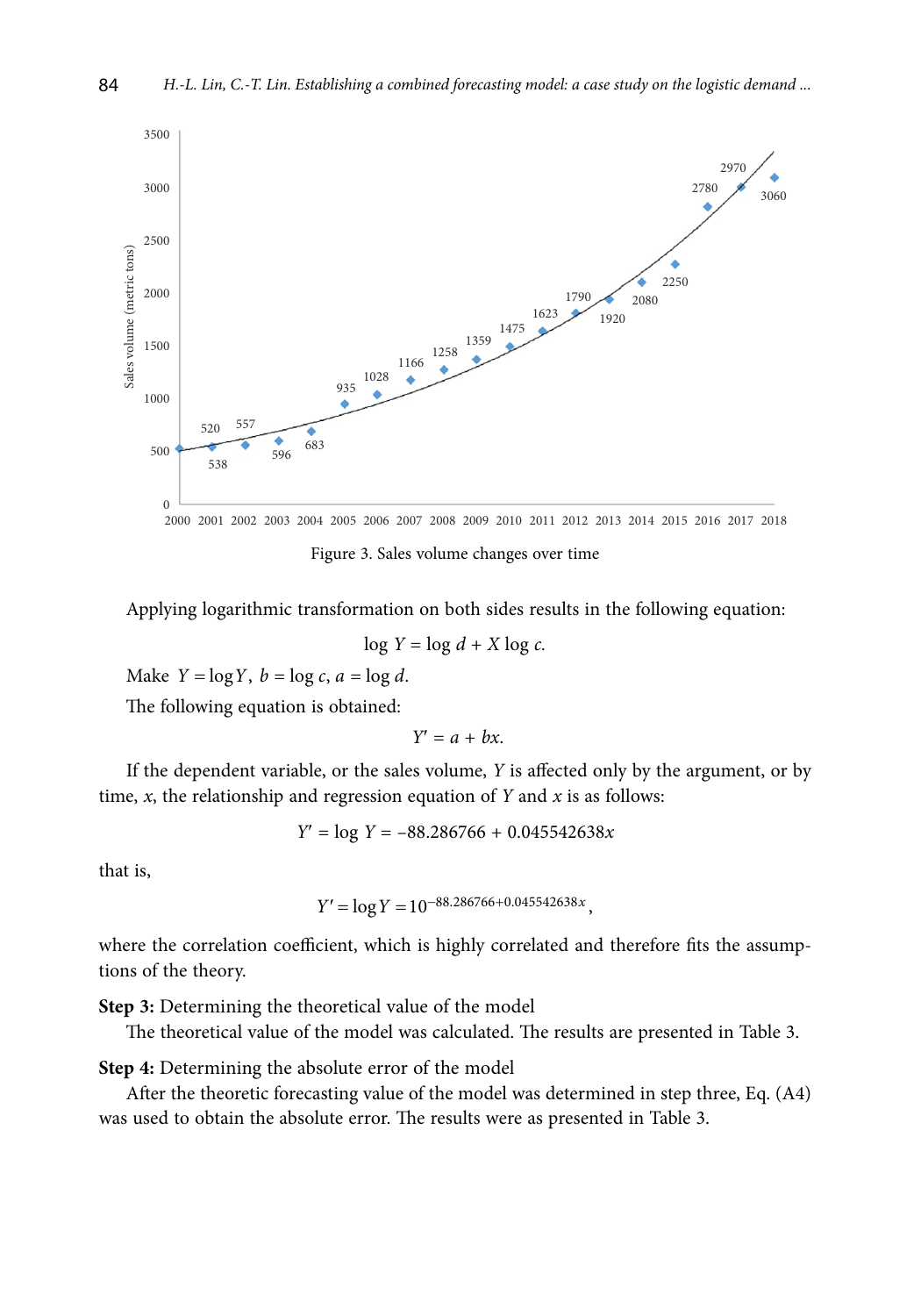

Figure 3. Sales volume changes over time

Applying logarithmic transformation on both sides results in the following equation:

$$
\log Y = \log d + X \log c.
$$

Make  $Y = \log Y$ ,  $b = \log c$ ,  $a = \log d$ .

The following equation is obtained:

$$
Y'=a+bx.
$$

If the dependent variable, or the sales volume, *Y* is affected only by the argument, or by time, *x*, the relationship and regression equation of *Y* and *x* is as follows:

$$
Y' = \log Y = -88.286766 + 0.045542638x
$$

that is,

$$
Y' = \log Y = 10^{-88.286766 + 0.045542638x},
$$

where the correlation coefficient, which is highly correlated and therefore fits the assumptions of the theory.

**Step 3:** Determining the theoretical value of the model

The theoretical value of the model was calculated. The results are presented in Table 3.

**Step 4:** Determining the absolute error of the model

After the theoretic forecasting value of the model was determined in step three, Eq. (A4) was used to obtain the absolute error. The results were as presented in Table 3.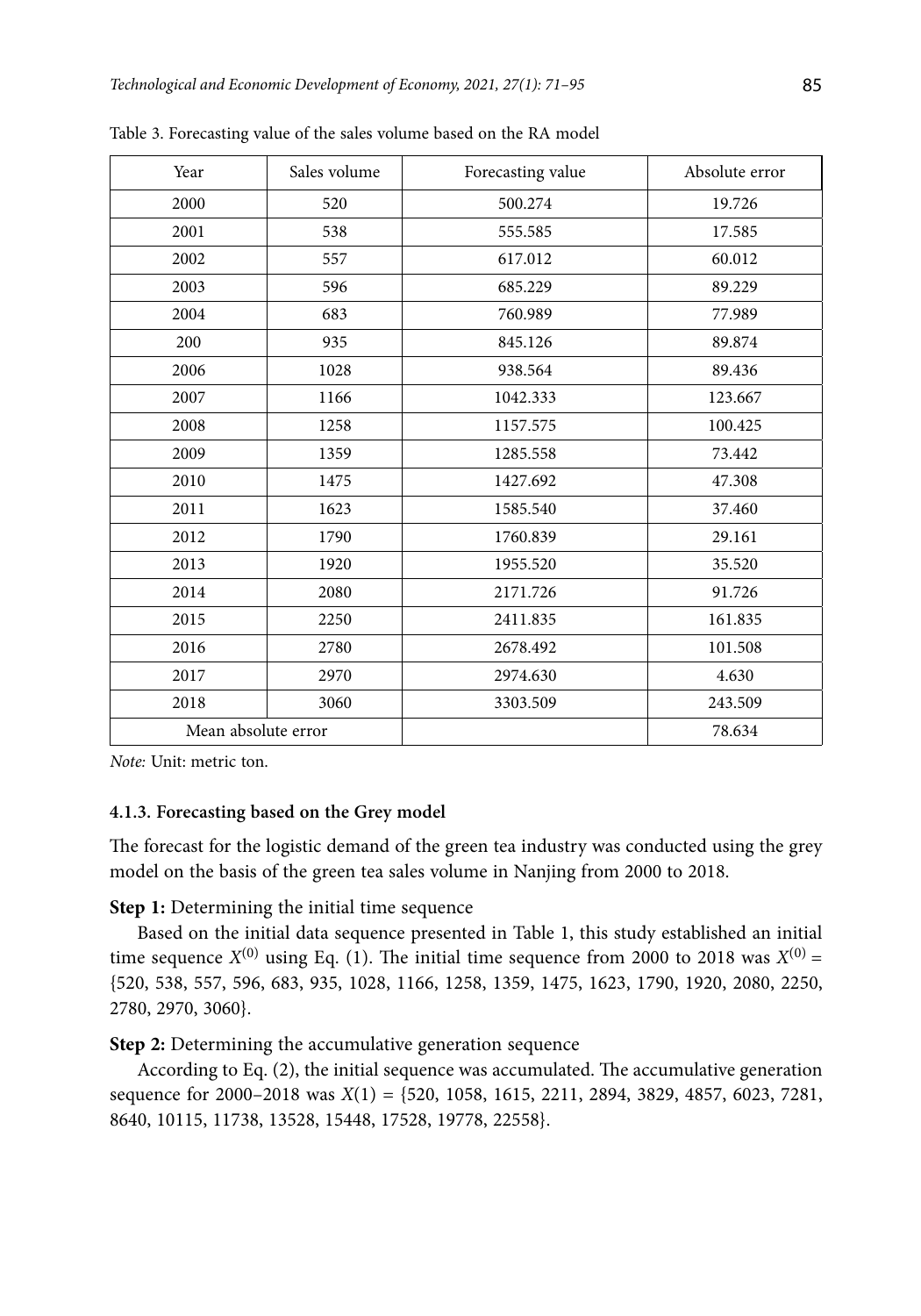| Year                | Sales volume | Forecasting value | Absolute error |
|---------------------|--------------|-------------------|----------------|
| 2000                | 520          | 500.274           | 19.726         |
| 2001                | 538          | 555.585           | 17.585         |
| 2002                | 557          | 617.012           | 60.012         |
| 2003                | 596          | 685.229           | 89.229         |
| 2004                | 683          | 760.989           | 77.989         |
| 200                 | 935          | 845.126           | 89.874         |
| 2006                | 1028         | 938.564           | 89.436         |
| 2007                | 1166         | 1042.333          | 123.667        |
| 2008                | 1258         | 1157.575          | 100.425        |
| 2009                | 1359         | 1285.558          | 73.442         |
| 2010                | 1475         | 1427.692          | 47.308         |
| 2011                | 1623         | 1585.540          | 37.460         |
| 2012                | 1790         | 1760.839          | 29.161         |
| 2013                | 1920         | 1955.520          | 35.520         |
| 2014                | 2080         | 2171.726          | 91.726         |
| 2015                | 2250         | 2411.835          | 161.835        |
| 2016                | 2780         | 2678.492          | 101.508        |
| 2017                | 2970         | 2974.630          | 4.630          |
| 2018                | 3060         | 3303.509          | 243.509        |
| Mean absolute error |              |                   | 78.634         |

Table 3. Forecasting value of the sales volume based on the RA model

*Note:* Unit: metric ton.

# **4.1.3. Forecasting based on the Grey model**

The forecast for the logistic demand of the green tea industry was conducted using the grey model on the basis of the green tea sales volume in Nanjing from 2000 to 2018.

**Step 1:** Determining the initial time sequence

Based on the initial data sequence presented in Table 1, this study established an initial time sequence  $X^{(0)}$  using Eq. (1). The initial time sequence from 2000 to 2018 was  $X^{(0)}$  = {520, 538, 557, 596, 683, 935, 1028, 1166, 1258, 1359, 1475, 1623, 1790, 1920, 2080, 2250, 2780, 2970, 3060}.

**Step 2:** Determining the accumulative generation sequence

According to Eq. (2), the initial sequence was accumulated. The accumulative generation sequence for 2000–2018 was *X*(1) = {520, 1058, 1615, 2211, 2894, 3829, 4857, 6023, 7281, 8640, 10115, 11738, 13528, 15448, 17528, 19778, 22558}.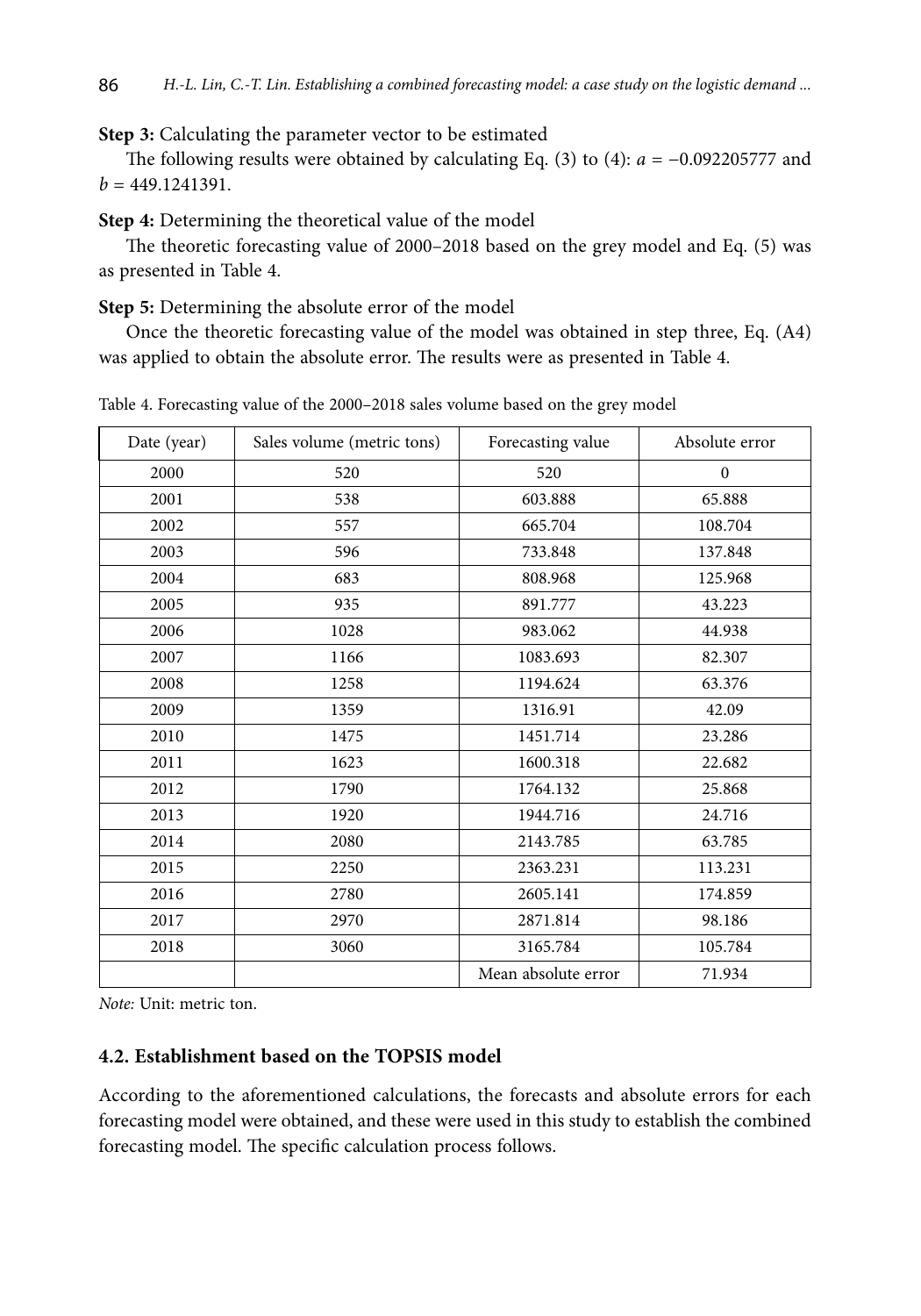**Step 3:** Calculating the parameter vector to be estimated

The following results were obtained by calculating Eq. (3) to (4): *a* = −0.092205777 and  $b = 449.1241391.$ 

**Step 4:** Determining the theoretical value of the model

The theoretic forecasting value of 2000–2018 based on the grey model and Eq. (5) was as presented in Table 4.

**Step 5:** Determining the absolute error of the model

Once the theoretic forecasting value of the model was obtained in step three, Eq. (A4) was applied to obtain the absolute error. The results were as presented in Table 4.

| Date (year) | Sales volume (metric tons) | Forecasting value   | Absolute error |
|-------------|----------------------------|---------------------|----------------|
| 2000        | 520                        | 520                 | $\mathbf{0}$   |
| 2001        | 538                        | 603.888             | 65.888         |
| 2002        | 557                        | 665.704             | 108.704        |
| 2003        | 596                        | 733.848             | 137.848        |
| 2004        | 683                        | 808.968             | 125.968        |
| 2005        | 935                        | 891.777             | 43.223         |
| 2006        | 1028                       | 983.062             | 44.938         |
| 2007        | 1166                       | 1083.693            | 82.307         |
| 2008        | 1258                       | 1194.624            | 63.376         |
| 2009        | 1359                       | 1316.91             | 42.09          |
| 2010        | 1475                       | 1451.714            | 23.286         |
| 2011        | 1623                       | 1600.318            | 22.682         |
| 2012        | 1790                       | 1764.132            | 25.868         |
| 2013        | 1920                       | 1944.716            | 24.716         |
| 2014        | 2080                       | 2143.785            | 63.785         |
| 2015        | 2250                       | 2363.231            | 113.231        |
| 2016        | 2780                       | 2605.141            | 174.859        |
| 2017        | 2970                       | 2871.814            | 98.186         |
| 2018        | 3060                       | 3165.784            | 105.784        |
|             |                            | Mean absolute error | 71.934         |

Table 4. Forecasting value of the 2000–2018 sales volume based on the grey model

*Note:* Unit: metric ton.

# **4.2. Establishment based on the TOPSIS model**

According to the aforementioned calculations, the forecasts and absolute errors for each forecasting model were obtained, and these were used in this study to establish the combined forecasting model. The specific calculation process follows.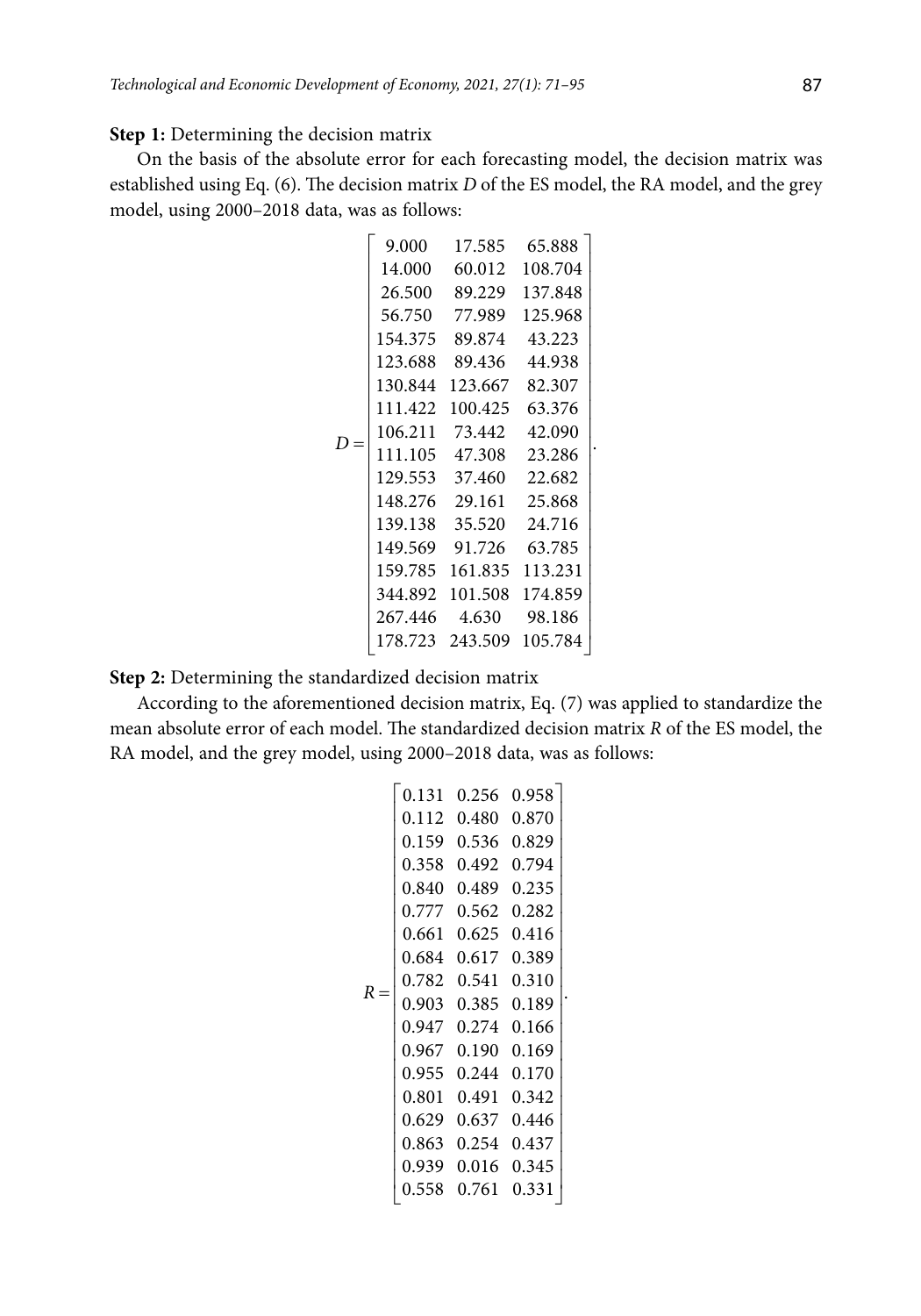## **Step 1:** Determining the decision matrix

On the basis of the absolute error for each forecasting model, the decision matrix was established using Eq. (6). The decision matrix *D* of the ES model, the RA model, and the grey model, using 2000–2018 data, was as follows:

|       | 9.000   | 17.585  | 65.888  |
|-------|---------|---------|---------|
|       | 14.000  | 60.012  | 108.704 |
|       | 26.500  | 89.229  | 137.848 |
|       | 56.750  | 77.989  | 125.968 |
|       | 154.375 | 89.874  | 43.223  |
|       | 123.688 | 89.436  | 44.938  |
|       | 130.844 | 123.667 | 82.307  |
|       | 111.422 | 100.425 | 63.376  |
| $D =$ | 106.211 | 73.442  | 42.090  |
|       | 111.105 | 47.308  | 23.286  |
|       | 129.553 | 37.460  | 22.682  |
|       | 148.276 | 29.161  | 25.868  |
|       | 139.138 | 35.520  | 24.716  |
|       | 149.569 | 91.726  | 63.785  |
|       | 159.785 | 161.835 | 113.231 |
|       | 344.892 | 101.508 | 174.859 |
|       | 267.446 | 4.630   | 98.186  |
|       | 178.723 | 243.509 | 105.784 |

.

**Step 2:** Determining the standardized decision matrix

According to the aforementioned decision matrix, Eq. (7) was applied to standardize the mean absolute error of each model. The standardized decision matrix *R* of the ES model, the RA model, and the grey model, using 2000–2018 data, was as follows:

$$
R = \left[\begin{array}{cccc} 0.131 & 0.256 & 0.958 \\ 0.112 & 0.480 & 0.870 \\ 0.159 & 0.536 & 0.829 \\ 0.358 & 0.492 & 0.794 \\ 0.840 & 0.489 & 0.235 \\ 0.777 & 0.562 & 0.282 \\ 0.661 & 0.625 & 0.416 \\ 0.684 & 0.617 & 0.389 \\ 0.782 & 0.541 & 0.310 \\ 0.903 & 0.385 & 0.189 \\ 0.947 & 0.274 & 0.166 \\ 0.967 & 0.190 & 0.169 \\ 0.967 & 0.190 & 0.169 \\ 0.967 & 0.190 & 0.169 \\ 0.955 & 0.244 & 0.170 \\ 0.801 & 0.491 & 0.342 \\ 0.629 & 0.637 & 0.446 \\ 0.863 & 0.254 & 0.437 \\ 0.939 & 0.016 & 0.345 \\ 0.558 & 0.761 & 0.331 \end{array}\right]
$$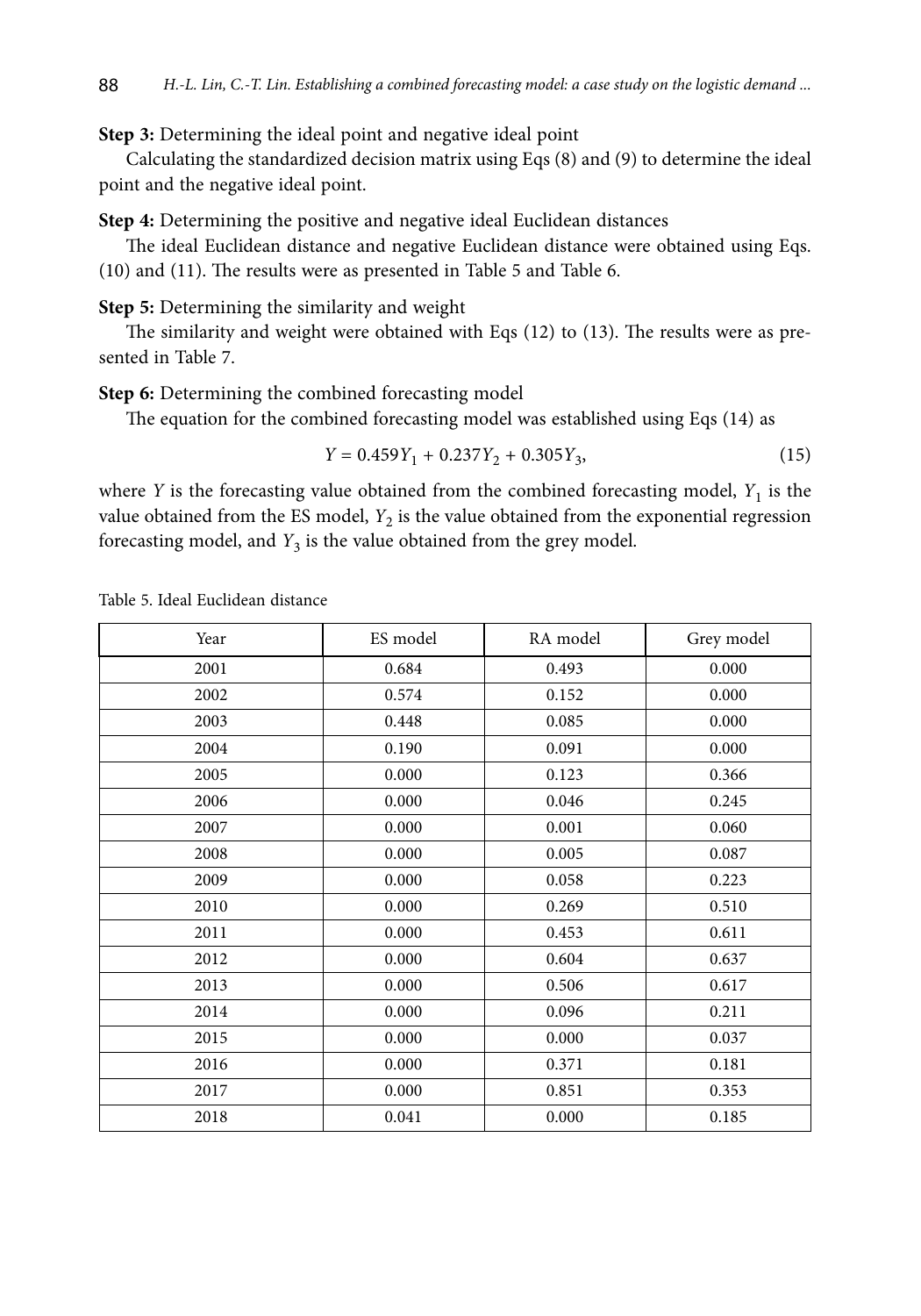**Step 3:** Determining the ideal point and negative ideal point

Calculating the standardized decision matrix using Eqs (8) and (9) to determine the ideal point and the negative ideal point.

**Step 4:** Determining the positive and negative ideal Euclidean distances

The ideal Euclidean distance and negative Euclidean distance were obtained using Eqs. (10) and (11). The results were as presented in Table 5 and Table 6.

**Step 5:** Determining the similarity and weight

The similarity and weight were obtained with Eqs (12) to (13). The results were as presented in Table 7.

**Step 6:** Determining the combined forecasting model

The equation for the combined forecasting model was established using Eqs (14) as

$$
Y = 0.459Y_1 + 0.237Y_2 + 0.305Y_3,\tag{15}
$$

where *Y* is the forecasting value obtained from the combined forecasting model,  $Y_1$  is the value obtained from the ES model,  $Y_2$  is the value obtained from the exponential regression forecasting model, and *Y*<sub>3</sub> is the value obtained from the grey model.

| Year | ES model | RA model | Grey model |
|------|----------|----------|------------|
| 2001 | 0.684    | 0.493    | 0.000      |
| 2002 | 0.574    | 0.152    | 0.000      |
| 2003 | 0.448    | 0.085    | 0.000      |
| 2004 | 0.190    | 0.091    | 0.000      |
| 2005 | 0.000    | 0.123    | 0.366      |
| 2006 | 0.000    | 0.046    | 0.245      |
| 2007 | 0.000    | 0.001    | 0.060      |
| 2008 | 0.000    | 0.005    | 0.087      |
| 2009 | 0.000    | 0.058    | 0.223      |
| 2010 | 0.000    | 0.269    | 0.510      |
| 2011 | 0.000    | 0.453    | 0.611      |
| 2012 | 0.000    | 0.604    | 0.637      |
| 2013 | 0.000    | 0.506    | 0.617      |
| 2014 | 0.000    | 0.096    | 0.211      |
| 2015 | 0.000    | 0.000    | 0.037      |
| 2016 | 0.000    | 0.371    | 0.181      |
| 2017 | 0.000    | 0.851    | 0.353      |
| 2018 | 0.041    | 0.000    | 0.185      |

Table 5. Ideal Euclidean distance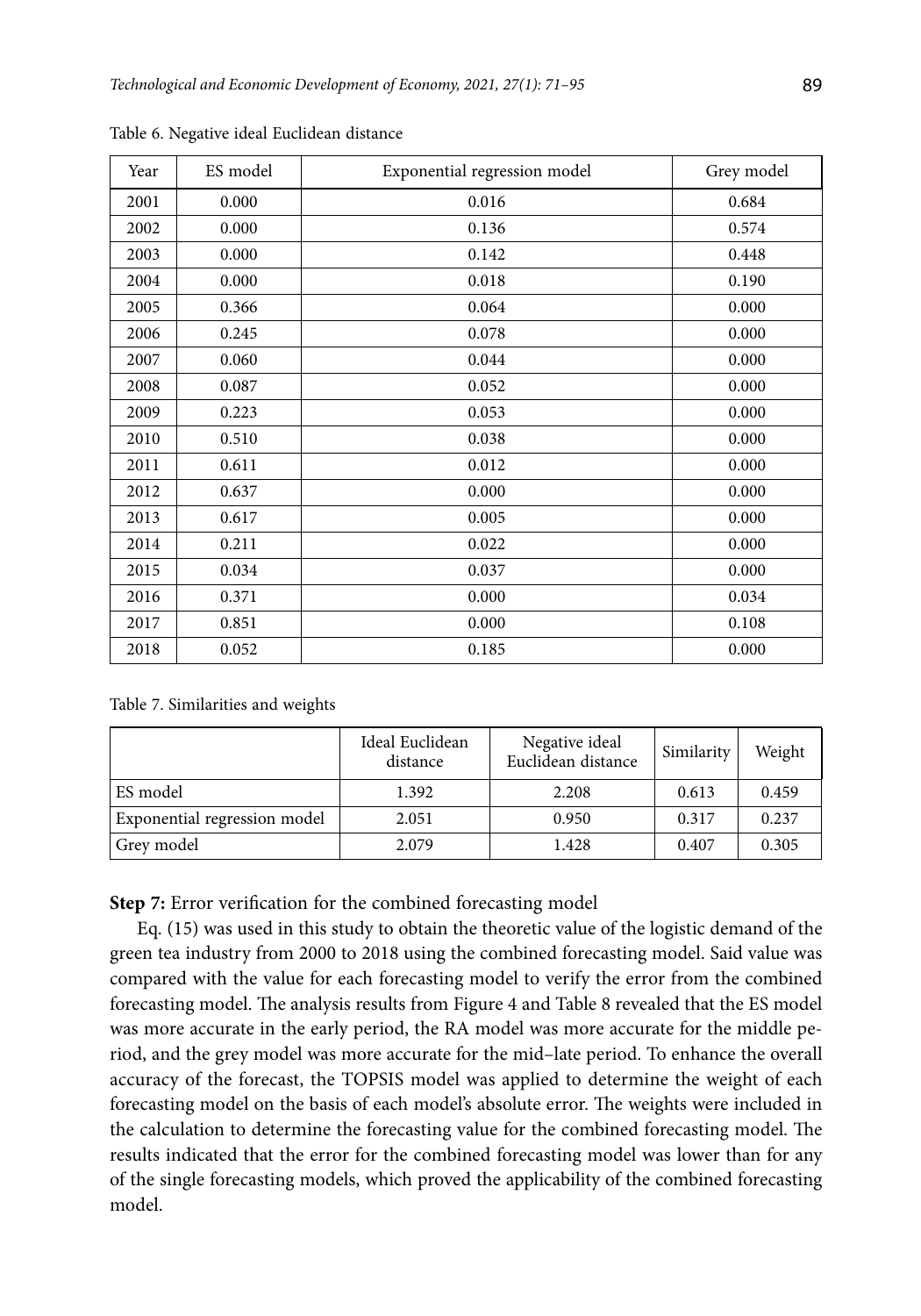| Year | ES model | Exponential regression model | Grey model |
|------|----------|------------------------------|------------|
| 2001 | 0.000    | 0.016                        | 0.684      |
| 2002 | 0.000    | 0.136                        | 0.574      |
| 2003 | 0.000    | 0.142                        | 0.448      |
| 2004 | 0.000    | 0.018                        | 0.190      |
| 2005 | 0.366    | 0.064                        | 0.000      |
| 2006 | 0.245    | 0.078                        | 0.000      |
| 2007 | 0.060    | 0.044                        | 0.000      |
| 2008 | 0.087    | 0.052                        | 0.000      |
| 2009 | 0.223    | 0.053                        | 0.000      |
| 2010 | 0.510    | 0.038                        | 0.000      |
| 2011 | 0.611    | 0.012                        | 0.000      |
| 2012 | 0.637    | 0.000                        | 0.000      |
| 2013 | 0.617    | 0.005                        | 0.000      |
| 2014 | 0.211    | 0.022                        | 0.000      |
| 2015 | 0.034    | 0.037                        | 0.000      |
| 2016 | 0.371    | 0.000                        | 0.034      |
| 2017 | 0.851    | 0.000                        | 0.108      |
| 2018 | 0.052    | 0.185                        | 0.000      |

Table 6. Negative ideal Euclidean distance

Table 7. Similarities and weights

|                              | Ideal Euclidean<br>distance | Negative ideal<br>Euclidean distance | Similarity | Weight |
|------------------------------|-----------------------------|--------------------------------------|------------|--------|
| ES model                     | 1.392                       | 2.208                                | 0.613      | 0.459  |
| Exponential regression model | 2.051                       | 0.950                                | 0.317      | 0.237  |
| Grev model                   | 2.079                       | 1.428                                | 0.407      | 0.305  |

**Step 7:** Error verification for the combined forecasting model

Eq. (15) was used in this study to obtain the theoretic value of the logistic demand of the green tea industry from 2000 to 2018 using the combined forecasting model. Said value was compared with the value for each forecasting model to verify the error from the combined forecasting model. The analysis results from Figure 4 and Table 8 revealed that the ES model was more accurate in the early period, the RA model was more accurate for the middle period, and the grey model was more accurate for the mid–late period. To enhance the overall accuracy of the forecast, the TOPSIS model was applied to determine the weight of each forecasting model on the basis of each model's absolute error. The weights were included in the calculation to determine the forecasting value for the combined forecasting model. The results indicated that the error for the combined forecasting model was lower than for any of the single forecasting models, which proved the applicability of the combined forecasting model.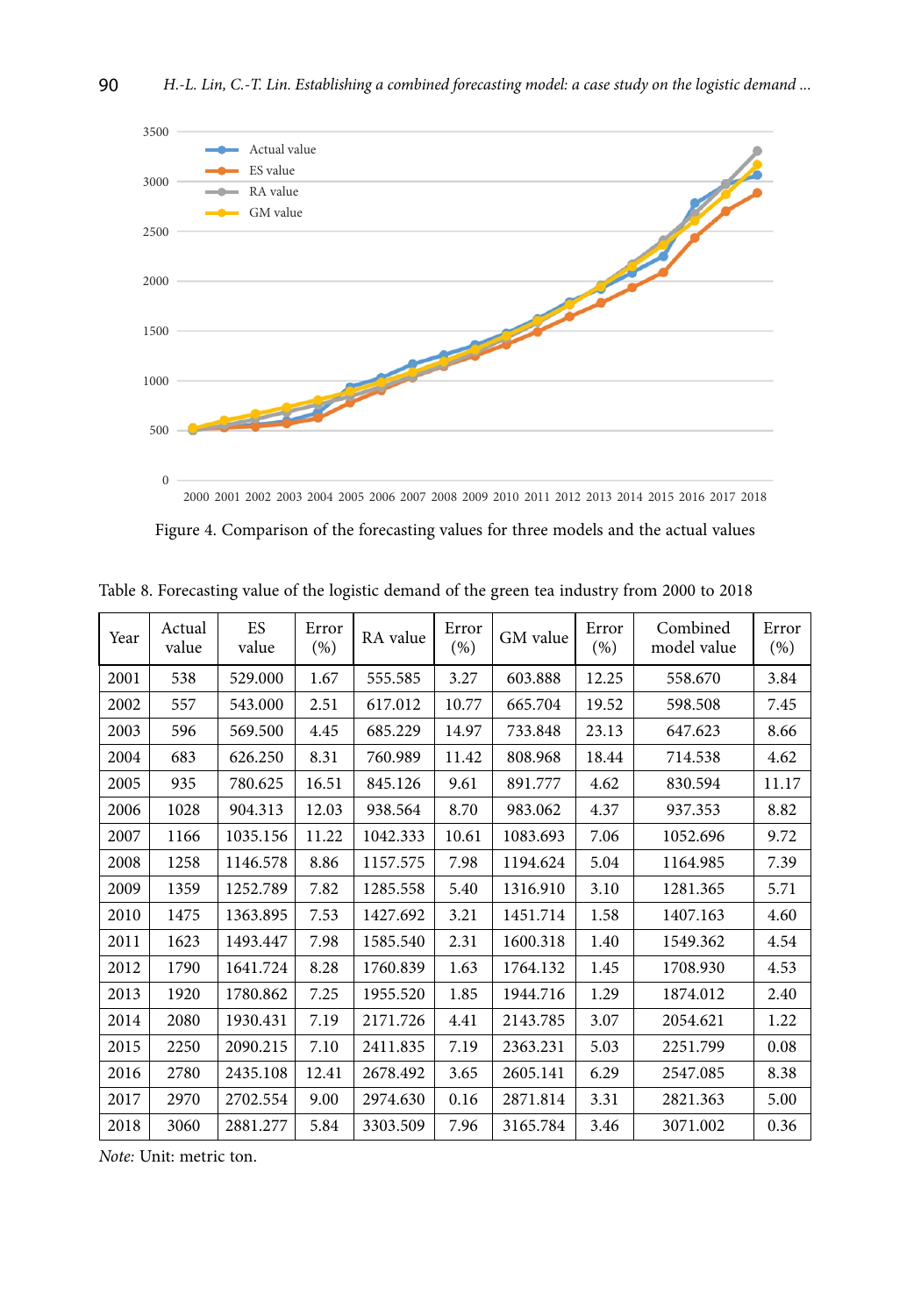

| Figure 4. Comparison of the forecasting values for three models and the actual values |
|---------------------------------------------------------------------------------------|
|---------------------------------------------------------------------------------------|

| Year | Actual<br>value | ES.<br>value | Error<br>(% ) | RA value | Error<br>(%) | GM value | Error<br>$(\%)$ | Combined<br>model value | Error<br>$(\%)$ |
|------|-----------------|--------------|---------------|----------|--------------|----------|-----------------|-------------------------|-----------------|
| 2001 | 538             | 529.000      | 1.67          | 555.585  | 3.27         | 603.888  | 12.25           | 558.670                 | 3.84            |
| 2002 | 557             | 543.000      | 2.51          | 617.012  | 10.77        | 665.704  | 19.52           | 598.508                 | 7.45            |
| 2003 | 596             | 569.500      | 4.45          | 685.229  | 14.97        | 733.848  | 23.13           | 647.623                 | 8.66            |
| 2004 | 683             | 626.250      | 8.31          | 760.989  | 11.42        | 808.968  | 18.44           | 714.538                 | 4.62            |
| 2005 | 935             | 780.625      | 16.51         | 845.126  | 9.61         | 891.777  | 4.62            | 830.594                 | 11.17           |
| 2006 | 1028            | 904.313      | 12.03         | 938.564  | 8.70         | 983.062  | 4.37            | 937.353                 | 8.82            |
| 2007 | 1166            | 1035.156     | 11.22         | 1042.333 | 10.61        | 1083.693 | 7.06            | 1052.696                | 9.72            |
| 2008 | 1258            | 1146.578     | 8.86          | 1157.575 | 7.98         | 1194.624 | 5.04            | 1164.985                | 7.39            |
| 2009 | 1359            | 1252.789     | 7.82          | 1285.558 | 5.40         | 1316.910 | 3.10            | 1281.365                | 5.71            |
| 2010 | 1475            | 1363.895     | 7.53          | 1427.692 | 3.21         | 1451.714 | 1.58            | 1407.163                | 4.60            |
| 2011 | 1623            | 1493.447     | 7.98          | 1585.540 | 2.31         | 1600.318 | 1.40            | 1549.362                | 4.54            |
| 2012 | 1790            | 1641.724     | 8.28          | 1760.839 | 1.63         | 1764.132 | 1.45            | 1708.930                | 4.53            |
| 2013 | 1920            | 1780.862     | 7.25          | 1955.520 | 1.85         | 1944.716 | 1.29            | 1874.012                | 2.40            |
| 2014 | 2080            | 1930.431     | 7.19          | 2171.726 | 4.41         | 2143.785 | 3.07            | 2054.621                | 1.22            |
| 2015 | 2250            | 2090.215     | 7.10          | 2411.835 | 7.19         | 2363.231 | 5.03            | 2251.799                | 0.08            |
| 2016 | 2780            | 2435.108     | 12.41         | 2678.492 | 3.65         | 2605.141 | 6.29            | 2547.085                | 8.38            |
| 2017 | 2970            | 2702.554     | 9.00          | 2974.630 | 0.16         | 2871.814 | 3.31            | 2821.363                | 5.00            |
| 2018 | 3060            | 2881.277     | 5.84          | 3303.509 | 7.96         | 3165.784 | 3.46            | 3071.002                | 0.36            |

Table 8. Forecasting value of the logistic demand of the green tea industry from 2000 to 2018

*Note:* Unit: metric ton.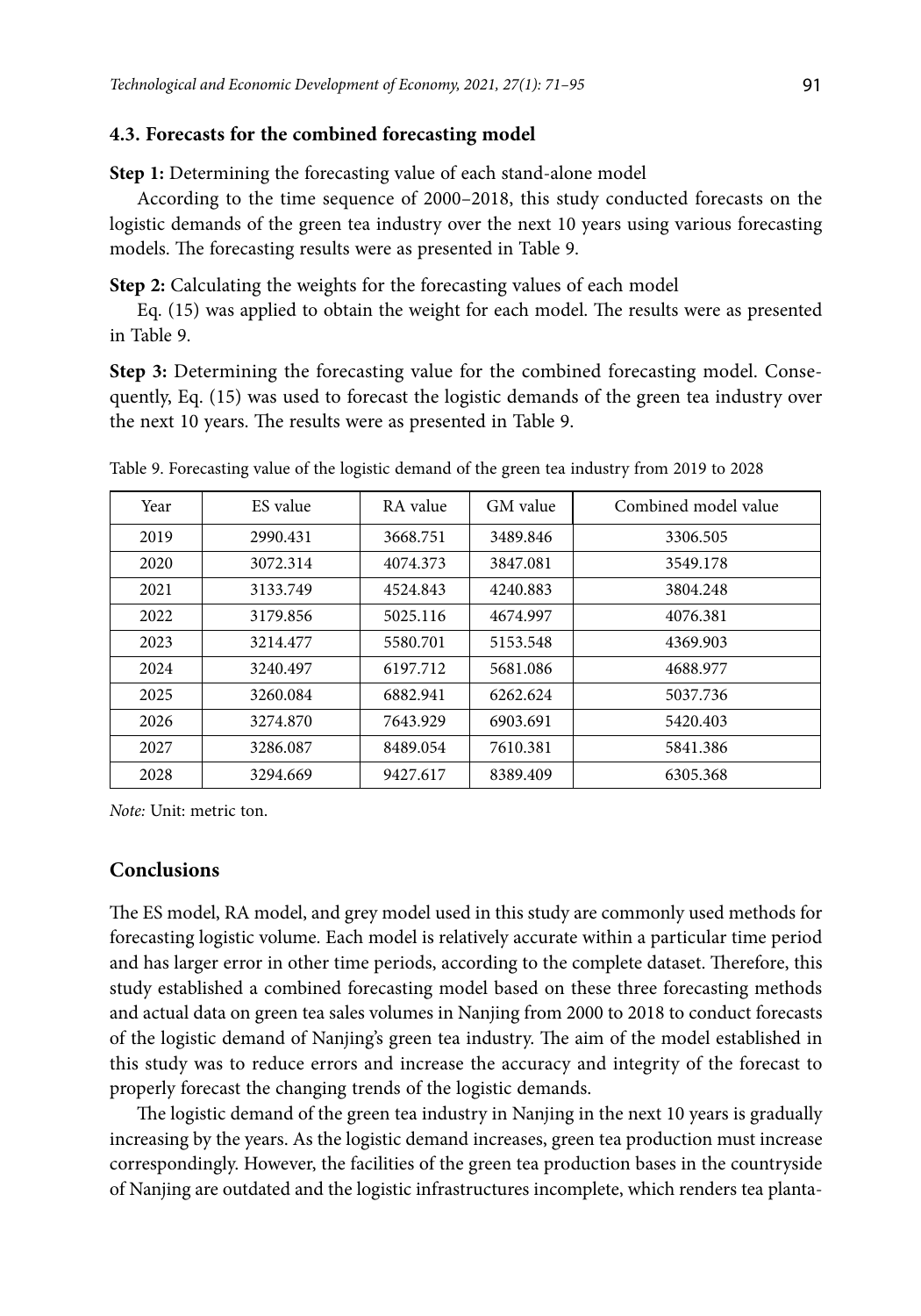#### **4.3. Forecasts for the combined forecasting model**

**Step 1:** Determining the forecasting value of each stand-alone model

According to the time sequence of 2000–2018, this study conducted forecasts on the logistic demands of the green tea industry over the next 10 years using various forecasting models. The forecasting results were as presented in Table 9.

**Step 2:** Calculating the weights for the forecasting values of each model

Eq. (15) was applied to obtain the weight for each model. The results were as presented in Table 9.

**Step 3:** Determining the forecasting value for the combined forecasting model. Consequently, Eq. (15) was used to forecast the logistic demands of the green tea industry over the next 10 years. The results were as presented in Table 9.

| Year | ES value | RA value | GM value | Combined model value |
|------|----------|----------|----------|----------------------|
| 2019 | 2990.431 | 3668.751 | 3489.846 | 3306.505             |
| 2020 | 3072.314 | 4074.373 | 3847.081 | 3549.178             |
| 2021 | 3133.749 | 4524.843 | 4240.883 | 3804.248             |
| 2022 | 3179.856 | 5025.116 | 4674.997 | 4076.381             |
| 2023 | 3214.477 | 5580.701 | 5153.548 | 4369.903             |
| 2024 | 3240.497 | 6197.712 | 5681.086 | 4688.977             |
| 2025 | 3260.084 | 6882.941 | 6262.624 | 5037.736             |
| 2026 | 3274.870 | 7643.929 | 6903.691 | 5420.403             |
| 2027 | 3286.087 | 8489.054 | 7610.381 | 5841.386             |
| 2028 | 3294.669 | 9427.617 | 8389.409 | 6305.368             |

Table 9. Forecasting value of the logistic demand of the green tea industry from 2019 to 2028

*Note:* Unit: metric ton.

# **Conclusions**

The ES model, RA model, and grey model used in this study are commonly used methods for forecasting logistic volume. Each model is relatively accurate within a particular time period and has larger error in other time periods, according to the complete dataset. Therefore, this study established a combined forecasting model based on these three forecasting methods and actual data on green tea sales volumes in Nanjing from 2000 to 2018 to conduct forecasts of the logistic demand of Nanjing's green tea industry. The aim of the model established in this study was to reduce errors and increase the accuracy and integrity of the forecast to properly forecast the changing trends of the logistic demands.

The logistic demand of the green tea industry in Nanjing in the next 10 years is gradually increasing by the years. As the logistic demand increases, green tea production must increase correspondingly. However, the facilities of the green tea production bases in the countryside of Nanjing are outdated and the logistic infrastructures incomplete, which renders tea planta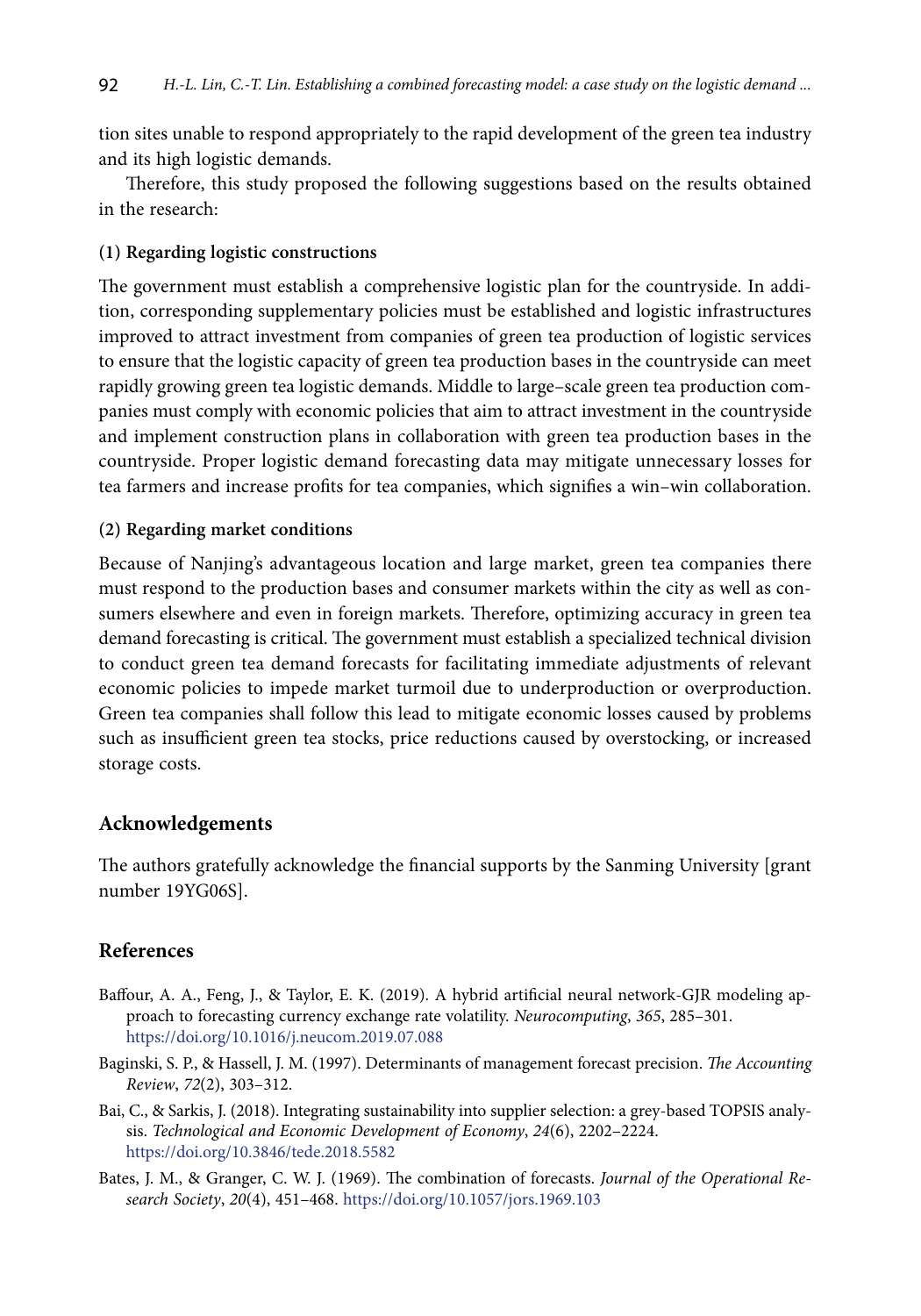tion sites unable to respond appropriately to the rapid development of the green tea industry and its high logistic demands.

Therefore, this study proposed the following suggestions based on the results obtained in the research:

# **(1) Regarding logistic constructions**

The government must establish a comprehensive logistic plan for the countryside. In addition, corresponding supplementary policies must be established and logistic infrastructures improved to attract investment from companies of green tea production of logistic services to ensure that the logistic capacity of green tea production bases in the countryside can meet rapidly growing green tea logistic demands. Middle to large–scale green tea production companies must comply with economic policies that aim to attract investment in the countryside and implement construction plans in collaboration with green tea production bases in the countryside. Proper logistic demand forecasting data may mitigate unnecessary losses for tea farmers and increase profits for tea companies, which signifies a win–win collaboration.

# **(2) Regarding market conditions**

Because of Nanjing's advantageous location and large market, green tea companies there must respond to the production bases and consumer markets within the city as well as consumers elsewhere and even in foreign markets. Therefore, optimizing accuracy in green tea demand forecasting is critical. The government must establish a specialized technical division to conduct green tea demand forecasts for facilitating immediate adjustments of relevant economic policies to impede market turmoil due to underproduction or overproduction. Green tea companies shall follow this lead to mitigate economic losses caused by problems such as insufficient green tea stocks, price reductions caused by overstocking, or increased storage costs.

# **Acknowledgements**

The authors gratefully acknowledge the financial supports by the Sanming University [grant number 19YG06S].

# **References**

- Baffour, A. A., Feng, J., & Taylor, E. K. (2019). A hybrid artificial neural network-GJR modeling approach to forecasting currency exchange rate volatility. *Neurocomputing*, *365*, 285–301. <https://doi.org/10.1016/j.neucom.2019.07.088>
- Baginski, S. P., & Hassell, J. M. (1997). Determinants of management forecast precision. *The Accounting Review*, *72*(2), 303–312.
- Bai, C., & Sarkis, J. (2018). Integrating sustainability into supplier selection: a grey-based TOPSIS analysis. *Technological and Economic Development of Economy*, *24*(6), 2202–2224. <https://doi.org/10.3846/tede.2018.5582>
- Bates, J. M., & Granger, C. W. J. (1969). The combination of forecasts. *Journal of the Operational Research Society*, *20*(4), 451–468.<https://doi.org/10.1057/jors.1969.103>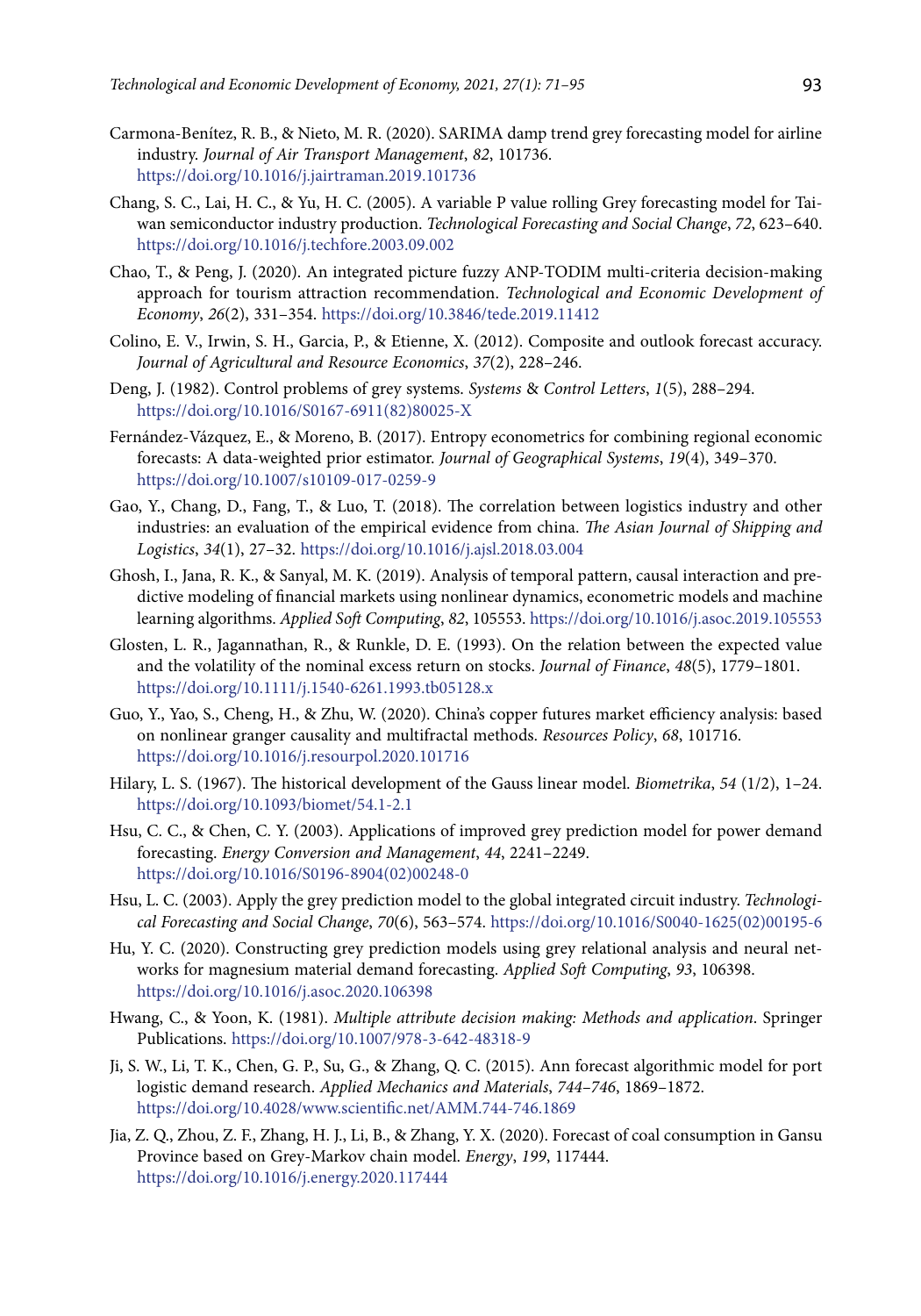- Carmona-Benítez, R. B., & Nieto, M. R. (2020). SARIMA damp trend grey forecasting model for airline industry. *Journal of Air Transport Management*, *82*, 101736. <https://doi.org/10.1016/j.jairtraman.2019.101736>
- Chang, S. C., Lai, H. C., & Yu, H. C. (2005). A variable P value rolling Grey forecasting model for Taiwan semiconductor industry production. *Technological Forecasting and Social Change*, *72*, 623–640. <https://doi.org/10.1016/j.techfore.2003.09.002>
- Chao, T., & Peng, J. (2020). An integrated picture fuzzy ANP-TODIM multi-criteria decision-making approach for tourism attraction recommendation. *Technological and Economic Development of Economy*, *26*(2), 331–354. <https://doi.org/10.3846/tede.2019.11412>
- Colino, E. V., Irwin, S. H., Garcia, P., & Etienne, X. (2012). Composite and outlook forecast accuracy. *Journal of Agricultural and Resource Economics*, *37*(2), 228–246.
- Deng, J. (1982). Control problems of grey systems. *Systems* & *Control Letters*, *1*(5), 288–294. [https://doi.org/10.1016/S0167-6911\(82\)80025-X](https://doi.org/10.1016/S0167-6911(82)80025-X)
- Fernández-Vázquez, E., & Moreno, B. (2017). Entropy econometrics for combining regional economic forecasts: A data-weighted prior estimator. *Journal of Geographical Systems*, *19*(4), 349–370. <https://doi.org/10.1007/s10109-017-0259-9>
- Gao, Y., Chang, D., Fang, T., & Luo, T. (2018). The correlation between logistics industry and other industries: an evaluation of the empirical evidence from china. *The Asian Journal of Shipping and Logistics*, *34*(1), 27–32. <https://doi.org/10.1016/j.ajsl.2018.03.004>
- Ghosh, I., Jana, R. K., & Sanyal, M. K. (2019). Analysis of temporal pattern, causal interaction and predictive modeling of financial markets using nonlinear dynamics, econometric models and machine learning algorithms. *Applied Soft Computing*, *82*, 105553.<https://doi.org/10.1016/j.asoc.2019.105553>
- Glosten, L. R., Jagannathan, R., & Runkle, D. E. (1993). On the relation between the expected value and the volatility of the nominal excess return on stocks. *Journal of Finance*, *48*(5), 1779–1801. <https://doi.org/10.1111/j.1540-6261.1993.tb05128.x>
- Guo, Y., Yao, S., Cheng, H., & Zhu, W. (2020). China's copper futures market efficiency analysis: based on nonlinear granger causality and multifractal methods. *Resources Policy*, *68*, 101716. <https://doi.org/10.1016/j.resourpol.2020.101716>
- Hilary, L. S. (1967). The historical development of the Gauss linear model. *Biometrika*, *54* (1/2), 1–24. <https://doi.org/10.1093/biomet/54.1-2.1>
- Hsu, C. C., & Chen, C. Y. (2003). Applications of improved grey prediction model for power demand forecasting. *Energy Conversion and Management*, *44*, 2241–2249. [https://doi.org/10.1016/S0196-8904\(02\)00248-0](https://doi.org/10.1016/S0196-8904(02)00248-0)
- Hsu, L. C. (2003). Apply the grey prediction model to the global integrated circuit industry. *Technological Forecasting and Social Change*, *70*(6), 563–574. [https://doi.org/10.1016/S0040-1625\(02\)00195-6](https://doi.org/10.1016/S0040-1625(02)00195-6)
- Hu, Y. C. (2020). Constructing grey prediction models using grey relational analysis and neural networks for magnesium material demand forecasting. *Applied Soft Computing*, *93*, 106398. <https://doi.org/10.1016/j.asoc.2020.106398>
- Hwang, C., & Yoon, K. (1981). *Multiple attribute decision making: Methods and application*. Springer Publications. <https://doi.org/10.1007/978-3-642-48318-9>
- Ji, S. W., Li, T. K., Chen, G. P., Su, G., & Zhang, Q. C. (2015). Ann forecast algorithmic model for port logistic demand research. *Applied Mechanics and Materials*, *744–746*, 1869–1872. <https://doi.org/10.4028/www.scientific.net/AMM.744-746.1869>
- Jia, Z. Q., Zhou, Z. F., Zhang, H. J., Li, B., & Zhang, Y. X. (2020). Forecast of coal consumption in Gansu Province based on Grey-Markov chain model. *Energy*, *199*, 117444. <https://doi.org/10.1016/j.energy.2020.117444>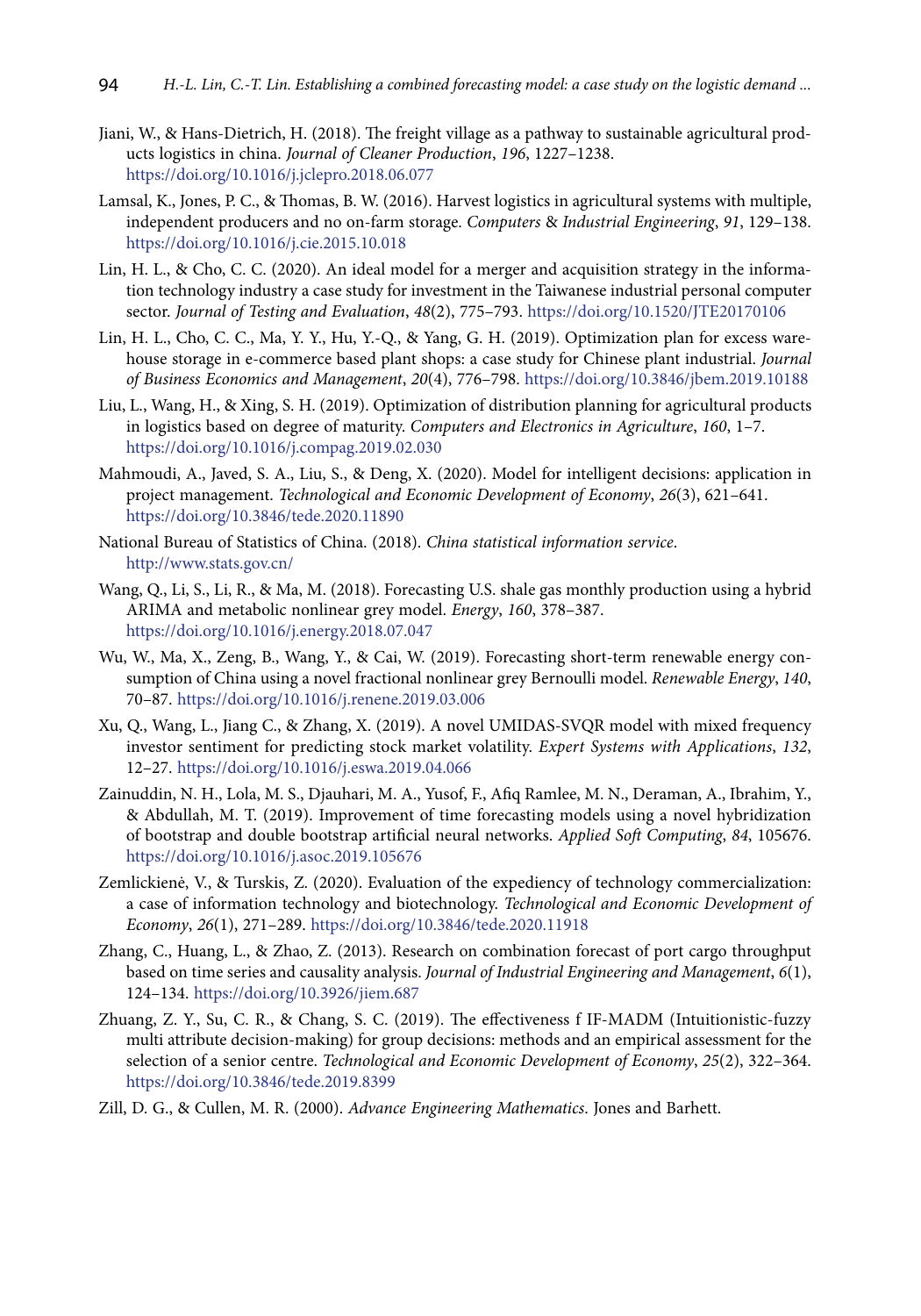- Jiani, W., & Hans-Dietrich, H. (2018). The freight village as a pathway to sustainable agricultural products logistics in china. *Journal of Cleaner Production*, *196*, 1227–1238. <https://doi.org/10.1016/j.jclepro.2018.06.077>
- Lamsal, K., Jones, P. C., & Thomas, B. W. (2016). Harvest logistics in agricultural systems with multiple, independent producers and no on-farm storage. *Computers* & *Industrial Engineering*, *91*, 129–138. <https://doi.org/10.1016/j.cie.2015.10.018>
- Lin, H. L., & Cho, C. C. (2020). An ideal model for a merger and acquisition strategy in the information technology industry a case study for investment in the Taiwanese industrial personal computer sector. *Journal of Testing and Evaluation*, *48*(2), 775–793. https://doi.org/10.1520/JTE20170106
- Lin, H. L., Cho, C. C., Ma, Y. Y., Hu, Y.-Q., & Yang, G. H. (2019). Optimization plan for excess warehouse storage in e-commerce based plant shops: a case study for Chinese plant industrial. *Journal of Business Economics and Management*, *20*(4), 776–798. <https://doi.org/10.3846/jbem.2019.10188>
- Liu, L., Wang, H., & Xing, S. H. (2019). Optimization of distribution planning for agricultural products in logistics based on degree of maturity. *Computers and Electronics in Agriculture*, *160*, 1–7. <https://doi.org/10.1016/j.compag.2019.02.030>
- Mahmoudi, A., Javed, S. A., Liu, S., & Deng, X. (2020). Model for intelligent decisions: application in project management. *Technological and Economic Development of Economy*, *26*(3), 621–641. <https://doi.org/10.3846/tede.2020.11890>
- National Bureau of Statistics of China. (2018). *China statistical information service*. <http://www.stats.gov.cn/>
- Wang, Q., Li, S., Li, R., & Ma, M. (2018). Forecasting U.S. shale gas monthly production using a hybrid ARIMA and metabolic nonlinear grey model. *Energy*, *160*, 378–387. <https://doi.org/10.1016/j.energy.2018.07.047>
- Wu, W., Ma, X., Zeng, B., Wang, Y., & Cai, W. (2019). Forecasting short-term renewable energy consumption of China using a novel fractional nonlinear grey Bernoulli model. *Renewable Energy*, *140*, 70–87. <https://doi.org/10.1016/j.renene.2019.03.006>
- Xu, Q., Wang, L., Jiang C., & Zhang, X. (2019). A novel UMIDAS-SVQR model with mixed frequency investor sentiment for predicting stock market volatility. *Expert Systems with Applications*, *132*, 12–27. <https://doi.org/10.1016/j.eswa.2019.04.066>
- Zainuddin, N. H., Lola, M. S., Djauhari, M. A., Yusof, F., Afiq Ramlee, M. N., Deraman, A., Ibrahim, Y., & Abdullah, M. T. (2019). Improvement of time forecasting models using a novel hybridization of bootstrap and double bootstrap artificial neural networks. *Applied Soft Computing*, *84*, 105676. <https://doi.org/10.1016/j.asoc.2019.105676>
- Zemlickienė, V., & Turskis, Z. (2020). Evaluation of the expediency of technology commercialization: a case of information technology and biotechnology. *Technological and Economic Development of Economy*, *26*(1), 271–289. <https://doi.org/10.3846/tede.2020.11918>
- Zhang, C., Huang, L., & Zhao, Z. (2013). Research on combination forecast of port cargo throughput based on time series and causality analysis. *Journal of Industrial Engineering and Management*, *6*(1), 124–134. <https://doi.org/10.3926/jiem.687>
- Zhuang, Z. Y., Su, C. R., & Chang, S. C. (2019). The effectiveness f IF-MADM (Intuitionistic-fuzzy multi attribute decision-making) for group decisions: methods and an empirical assessment for the selection of a senior centre. *Technological and Economic Development of Economy*, *25*(2), 322–364. <https://doi.org/10.3846/tede.2019.8399>
- Zill, D. G., & Cullen, M. R. (2000). *Advance Engineering Mathematics*. Jones and Barhett.